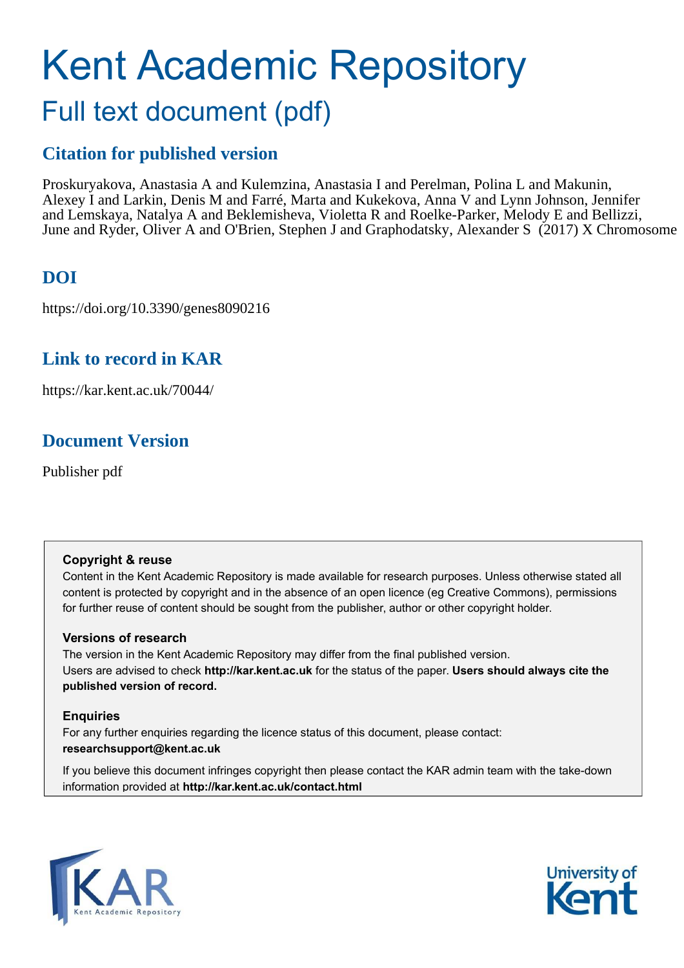# Kent Academic Repository Full text document (pdf)

# **Citation for published version**

Proskuryakova, Anastasia A and Kulemzina, Anastasia I and Perelman, Polina L and Makunin, Alexey I and Larkin, Denis M and Farré, Marta and Kukekova, Anna V and Lynn Johnson, Jennifer and Lemskaya, Natalya A and Beklemisheva, Violetta R and Roelke-Parker, Melody E and Bellizzi, June and Ryder, Oliver A and O'Brien, Stephen J and Graphodatsky, Alexander S (2017) X Chromosome

# **DOI**

https://doi.org/10.3390/genes8090216

## **Link to record in KAR**

https://kar.kent.ac.uk/70044/

# **Document Version**

Publisher pdf

## **Copyright & reuse**

Content in the Kent Academic Repository is made available for research purposes. Unless otherwise stated all content is protected by copyright and in the absence of an open licence (eg Creative Commons), permissions for further reuse of content should be sought from the publisher, author or other copyright holder.

## **Versions of research**

The version in the Kent Academic Repository may differ from the final published version. Users are advised to check **http://kar.kent.ac.uk** for the status of the paper. **Users should always cite the published version of record.**

## **Enquiries**

For any further enquiries regarding the licence status of this document, please contact: **researchsupport@kent.ac.uk**

If you believe this document infringes copyright then please contact the KAR admin team with the take-down information provided at **http://kar.kent.ac.uk/contact.html**



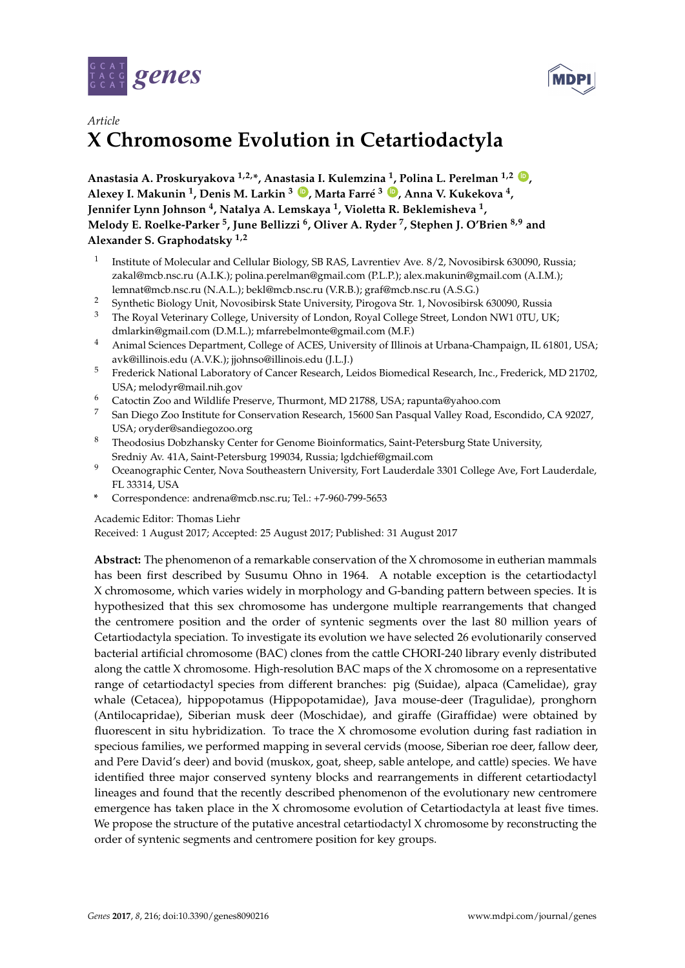



## *Article* **X Chromosome Evolution in Cetartiodactyla**

**Anastasia A. Proskuryakova 1,2,\*, Anastasia I. Kulemzina <sup>1</sup> , Polina L. Perelman 1,2 [ID](https://orcid.org/0000-0002-0982-5100) , Alexey I. Makunin <sup>1</sup> , Denis M. Larkin <sup>3</sup> [ID](https://orcid.org/0000-0001-7859-6201) , Marta Farré <sup>3</sup> [ID](https://orcid.org/0000-0001-9170-5767) , Anna V. Kukekova <sup>4</sup> , Jennifer Lynn Johnson <sup>4</sup> , Natalya A. Lemskaya <sup>1</sup> , Violetta R. Beklemisheva <sup>1</sup> , Melody E. Roelke-Parker <sup>5</sup> , June Bellizzi <sup>6</sup> , Oliver A. Ryder <sup>7</sup> , Stephen J. O'Brien 8,9 and Alexander S. Graphodatsky 1,2**

- 1 Institute of Molecular and Cellular Biology, SB RAS, Lavrentiev Ave. 8/2, Novosibirsk 630090, Russia; zakal@mcb.nsc.ru (A.I.K.); polina.perelman@gmail.com (P.L.P.); alex.makunin@gmail.com (A.I.M.); lemnat@mcb.nsc.ru (N.A.L.); bekl@mcb.nsc.ru (V.R.B.); graf@mcb.nsc.ru (A.S.G.)
- <sup>2</sup> Synthetic Biology Unit, Novosibirsk State University, Pirogova Str. 1, Novosibirsk 630090, Russia
- <sup>3</sup> The Royal Veterinary College, University of London, Royal College Street, London NW1 0TU, UK; dmlarkin@gmail.com (D.M.L.); mfarrebelmonte@gmail.com (M.F.)
- <sup>4</sup> Animal Sciences Department, College of ACES, University of Illinois at Urbana-Champaign, IL 61801, USA; avk@illinois.edu (A.V.K.); jjohnso@illinois.edu (J.L.J.)
- <sup>5</sup> Frederick National Laboratory of Cancer Research, Leidos Biomedical Research, Inc., Frederick, MD 21702, USA; melodyr@mail.nih.gov
- <sup>6</sup> Catoctin Zoo and Wildlife Preserve, Thurmont, MD 21788, USA; rapunta@yahoo.com
- <sup>7</sup> San Diego Zoo Institute for Conservation Research, 15600 San Pasqual Valley Road, Escondido, CA 92027, USA; oryder@sandiegozoo.org
- 8 Theodosius Dobzhansky Center for Genome Bioinformatics, Saint-Petersburg State University, Sredniy Av. 41A, Saint-Petersburg 199034, Russia; lgdchief@gmail.com
- Oceanographic Center, Nova Southeastern University, Fort Lauderdale 3301 College Ave, Fort Lauderdale, FL 33314, USA
- **\*** Correspondence: andrena@mcb.nsc.ru; Tel.: +7-960-799-5653

#### Academic Editor: Thomas Liehr

Received: 1 August 2017; Accepted: 25 August 2017; Published: 31 August 2017

**Abstract:** The phenomenon of a remarkable conservation of the X chromosome in eutherian mammals has been first described by Susumu Ohno in 1964. A notable exception is the cetartiodactyl X chromosome, which varies widely in morphology and G-banding pattern between species. It is hypothesized that this sex chromosome has undergone multiple rearrangements that changed the centromere position and the order of syntenic segments over the last 80 million years of Cetartiodactyla speciation. To investigate its evolution we have selected 26 evolutionarily conserved bacterial artificial chromosome (BAC) clones from the cattle CHORI-240 library evenly distributed along the cattle X chromosome. High-resolution BAC maps of the X chromosome on a representative range of cetartiodactyl species from different branches: pig (Suidae), alpaca (Camelidae), gray whale (Cetacea), hippopotamus (Hippopotamidae), Java mouse-deer (Tragulidae), pronghorn (Antilocapridae), Siberian musk deer (Moschidae), and giraffe (Giraffidae) were obtained by fluorescent in situ hybridization. To trace the X chromosome evolution during fast radiation in specious families, we performed mapping in several cervids (moose, Siberian roe deer, fallow deer, and Pere David's deer) and bovid (muskox, goat, sheep, sable antelope, and cattle) species. We have identified three major conserved synteny blocks and rearrangements in different cetartiodactyl lineages and found that the recently described phenomenon of the evolutionary new centromere emergence has taken place in the X chromosome evolution of Cetartiodactyla at least five times. We propose the structure of the putative ancestral cetartiodactyl X chromosome by reconstructing the order of syntenic segments and centromere position for key groups.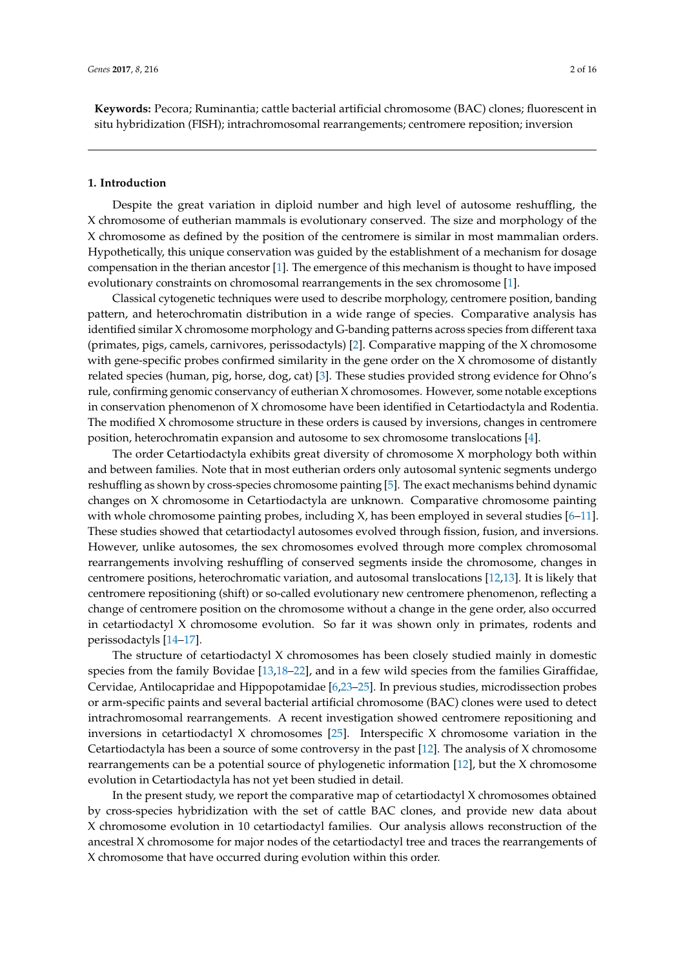**Keywords:** Pecora; Ruminantia; cattle bacterial artificial chromosome (BAC) clones; fluorescent in situ hybridization (FISH); intrachromosomal rearrangements; centromere reposition; inversion

#### **1. Introduction**

<span id="page-2-0"></span>Despite the great variation in diploid number and high level of autosome reshuffling, the X chromosome of eutherian mammals is evolutionary conserved. The size and morphology of the X chromosome as defined by the position of the centromere is similar in most mammalian orders. Hypothetically, this unique conservation was guided by the establishment of a mechanism for dosage compensation in the therian ancestor [\[1\]](#page-12-0). The emergence of this mechanism is thought to have imposed evolutionary constraints on chromosomal rearrangements in the sex chromosome [\[1\]](#page-12-0).

Classical cytogenetic techniques were used to describe morphology, centromere position, banding pattern, and heterochromatin distribution in a wide range of species. Comparative analysis has identified similar X chromosome morphology and G-banding patterns across species from different taxa (primates, pigs, camels, carnivores, perissodactyls) [\[2\]](#page-12-1). Comparative mapping of the X chromosome with gene-specific probes confirmed similarity in the gene order on the X chromosome of distantly related species (human, pig, horse, dog, cat) [\[3\]](#page-12-2). These studies provided strong evidence for Ohno's rule, confirming genomic conservancy of eutherian X chromosomes. However, some notable exceptions in conservation phenomenon of X chromosome have been identified in Cetartiodactyla and Rodentia. The modified X chromosome structure in these orders is caused by inversions, changes in centromere position, heterochromatin expansion and autosome to sex chromosome translocations [\[4\]](#page-12-3).

The order Cetartiodactyla exhibits great diversity of chromosome X morphology both within and between families. Note that in most eutherian orders only autosomal syntenic segments undergo reshuffling as shown by cross-species chromosome painting [\[5\]](#page-12-4). The exact mechanisms behind dynamic changes on X chromosome in Cetartiodactyla are unknown. Comparative chromosome painting with whole chromosome painting probes, including  $X$ , has been employed in several studies  $[6-11]$  $[6-11]$ . These studies showed that cetartiodactyl autosomes evolved through fission, fusion, and inversions. However, unlike autosomes, the sex chromosomes evolved through more complex chromosomal rearrangements involving reshuffling of conserved segments inside the chromosome, changes in centromere positions, heterochromatic variation, and autosomal translocations [\[12](#page-12-7)[,13\]](#page-12-8). It is likely that centromere repositioning (shift) or so-called evolutionary new centromere phenomenon, reflecting a change of centromere position on the chromosome without a change in the gene order, also occurred in cetartiodactyl X chromosome evolution. So far it was shown only in primates, rodents and perissodactyls [\[14–](#page-13-0)[17\]](#page-13-1).

The structure of cetartiodactyl X chromosomes has been closely studied mainly in domestic species from the family Bovidae [\[13](#page-12-8)[,18](#page-13-2)[–22\]](#page-13-3), and in a few wild species from the families Giraffidae, Cervidae, Antilocapridae and Hippopotamidae [\[6](#page-12-5)[,23](#page-13-4)[–25\]](#page-13-5). In previous studies, microdissection probes or arm-specific paints and several bacterial artificial chromosome (BAC) clones were used to detect intrachromosomal rearrangements. A recent investigation showed centromere repositioning and inversions in cetartiodactyl X chromosomes  $[25]$ . Interspecific X chromosome variation in the Cetartiodactyla has been a source of some controversy in the past [\[12\]](#page-12-7). The analysis of X chromosome rearrangements can be a potential source of phylogenetic information [\[12\]](#page-12-7), but the X chromosome evolution in Cetartiodactyla has not yet been studied in detail.

In the present study, we report the comparative map of cetartiodactyl X chromosomes obtained by cross-species hybridization with the set of cattle BAC clones, and provide new data about X chromosome evolution in 10 cetartiodactyl families. Our analysis allows reconstruction of the ancestral X chromosome for major nodes of the cetartiodactyl tree and traces the rearrangements of X chromosome that have occurred during evolution within this order.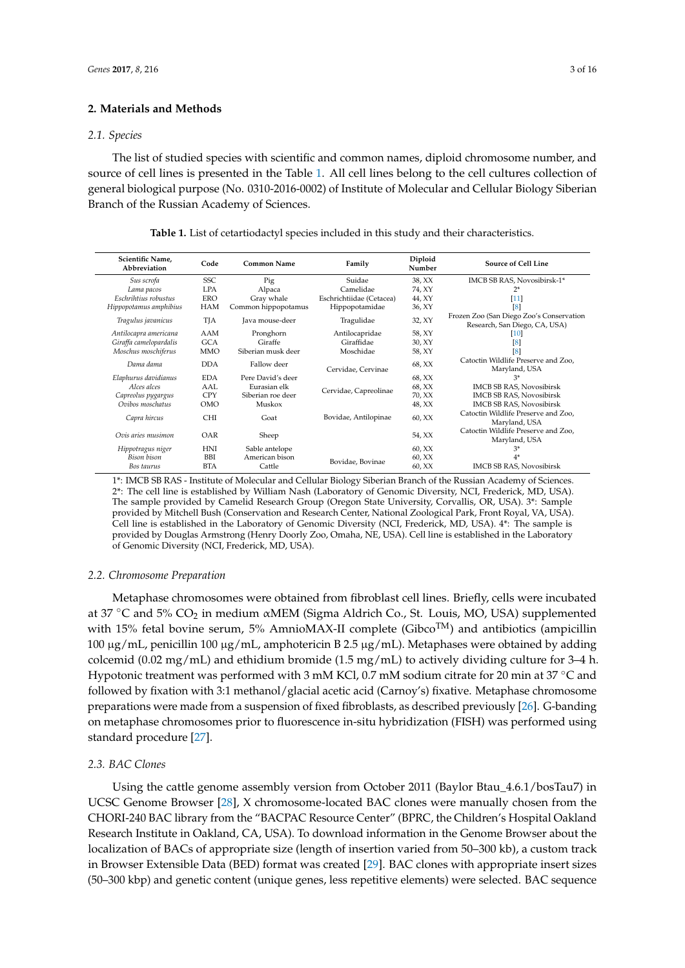#### **2. Materials and Methods**

#### *2.1. Species*

The list of studied species with scientific and common names, diploid chromosome number, and source of cell lines is presented in the Table [1.](#page-2-0) All cell lines belong to the cell cultures collection of general biological purpose (No. 0310-2016-0002) of Institute of Molecular and Cellular Biology Siberian Branch of the Russian Academy of Sciences.

| Scientific Name,<br>Code<br>Abbreviation |            | <b>Common Name</b>  | Family                   | Diploid<br>Number | <b>Source of Cell Line</b>                                                |  |  |
|------------------------------------------|------------|---------------------|--------------------------|-------------------|---------------------------------------------------------------------------|--|--|
| <b>SSC</b><br>Sus scrofa                 |            | Pig                 | Suidae                   | 38, XX            | IMCB SB RAS, Novosibirsk-1*                                               |  |  |
| Lama pacos                               | <b>LPA</b> | Alpaca              | Camelidae                | 74, XY            | $2^*$                                                                     |  |  |
| Eschrihtius robustus                     | ERO        | Gray whale          | Eschrichtiidae (Cetacea) | 44, XY            | [11]                                                                      |  |  |
| Hippopotamus amphibius                   | <b>HAM</b> | Common hippopotamus | Hippopotamidae           | 36, XY            | [8]                                                                       |  |  |
| Tragulus javanicus                       | TJA        | Java mouse-deer     | Tragulidae               | 32, XY            | Frozen Zoo (San Diego Zoo's Conservation<br>Research, San Diego, CA, USA) |  |  |
| Antilocapra americana                    | AAM        | Pronghorn           | Antilocapridae           | 58, XY            | [10]                                                                      |  |  |
| Giraffa camelopardalis                   | <b>GCA</b> | Giraffe             | Giraffidae               | 30, XY            | [8]                                                                       |  |  |
| Moschus moschiferus                      | <b>MMO</b> | Siberian musk deer  | Moschidae                | 58, XY            | [8]                                                                       |  |  |
| Dama dama                                | <b>DDA</b> | Fallow deer         | Cervidae, Cervinae       | 68, XX            | Catoctin Wildlife Preserve and Zoo,<br>Maryland, USA                      |  |  |
| Elaphurus davidianus                     | <b>EDA</b> | Pere David's deer   |                          | 68, XX            | $3*$                                                                      |  |  |
| Alces alces                              | AAL        | Eurasian elk        | Cervidae, Capreolinae    | 68, XX            | <b>IMCB SB RAS, Novosibirsk</b>                                           |  |  |
| Capreolus pygargus                       | <b>CPY</b> | Siberian roe deer   |                          | 70, XX            | <b>IMCB SB RAS, Novosibirsk</b>                                           |  |  |
| Ovibos moschatus                         | <b>OMO</b> | Muskox              |                          | 48, XX            | <b>IMCB SB RAS, Novosibirsk</b>                                           |  |  |
| Capra hircus                             | <b>CHI</b> | Goat                | Bovidae, Antilopinae     | 60, XX            | Catoctin Wildlife Preserve and Zoo,<br>Maryland, USA                      |  |  |
| Ovis aries musimon                       | OAR        | Sheep               |                          | 54, XX            | Catoctin Wildlife Preserve and Zoo,<br>Maryland, USA                      |  |  |
| Hippotragus niger                        | <b>HNI</b> | Sable antelope      |                          | 60, XX            | $3*$                                                                      |  |  |
| <b>Bison</b> bison                       | <b>BBI</b> | American bison      | Bovidae, Bovinae         | 60, XX            | $4*$                                                                      |  |  |
| Bos taurus                               | <b>BTA</b> | Cattle              |                          | 60, XX            | <b>IMCB SB RAS, Novosibirsk</b>                                           |  |  |

1\*: IMCB SB RAS - Institute of Molecular and Cellular Biology Siberian Branch of the Russian Academy of Sciences. 2\*: The cell line is established by William Nash (Laboratory of Genomic Diversity, NCI, Frederick, MD, USA). The sample provided by Camelid Research Group (Oregon State University, Corvallis, OR, USA). 3\*: Sample provided by Mitchell Bush (Conservation and Research Center, National Zoological Park, Front Royal, VA, USA). Cell line is established in the Laboratory of Genomic Diversity (NCI, Frederick, MD, USA). 4\*: The sample is provided by Douglas Armstrong (Henry Doorly Zoo, Omaha, NE, USA). Cell line is established in the Laboratory of Genomic Diversity (NCI, Frederick, MD, USA).

#### *2.2. Chromosome Preparation*

Metaphase chromosomes were obtained from fibroblast cell lines. Briefly, cells were incubated at 37 °C and 5% CO<sub>2</sub> in medium αMEM (Sigma Aldrich Co., St. Louis, MO, USA) supplemented with 15% fetal bovine serum, 5% AmnioMAX-II complete (Gibco<sup>TM</sup>) and antibiotics (ampicillin 100 µg/mL, penicillin 100 µg/mL, amphotericin B 2.5 µg/mL). Metaphases were obtained by adding colcemid (0.02 mg/mL) and ethidium bromide (1.5 mg/mL) to actively dividing culture for 3–4 h. Hypotonic treatment was performed with 3 mM KCl, 0.7 mM sodium citrate for 20 min at 37 °C and followed by fixation with 3:1 methanol/glacial acetic acid (Carnoy's) fixative. Metaphase chromosome preparations were made from a suspension of fixed fibroblasts, as described previously [\[26\]](#page-13-6). G-banding on metaphase chromosomes prior to fluorescence in-situ hybridization (FISH) was performed using standard procedure [\[27\]](#page-13-7).

#### *2.3. BAC Clones*

Using the cattle genome assembly version from October 2011 (Baylor Btau\_4.6.1/bosTau7) in UCSC Genome Browser [\[28\]](#page-13-8), X chromosome-located BAC clones were manually chosen from the CHORI-240 BAC library from the "BACPAC Resource Center" (BPRC, the Children's Hospital Oakland Research Institute in Oakland, CA, USA). To download information in the Genome Browser about the localization of BACs of appropriate size (length of insertion varied from 50–300 kb), a custom track in Browser Extensible Data (BED) format was created [\[29\]](#page-13-9). BAC clones with appropriate insert sizes (50–300 kbp) and genetic content (unique genes, less repetitive elements) were selected. BAC sequence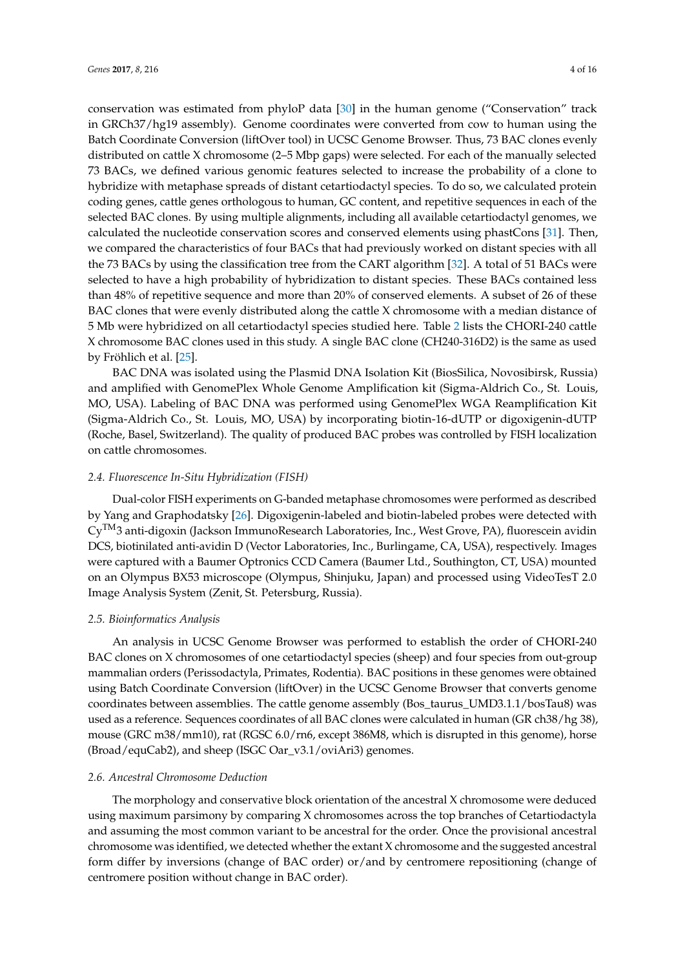conservation was estimated from phyloP data [\[30\]](#page-13-10) in the human genome ("Conservation" track in GRCh37/hg19 assembly). Genome coordinates were converted from cow to human using the Batch Coordinate Conversion (liftOver tool) in UCSC Genome Browser. Thus, 73 BAC clones evenly distributed on cattle X chromosome (2–5 Mbp gaps) were selected. For each of the manually selected 73 BACs, we defined various genomic features selected to increase the probability of a clone to hybridize with metaphase spreads of distant cetartiodactyl species. To do so, we calculated protein coding genes, cattle genes orthologous to human, GC content, and repetitive sequences in each of the selected BAC clones. By using multiple alignments, including all available cetartiodactyl genomes, we calculated the nucleotide conservation scores and conserved elements using phastCons [\[31\]](#page-13-11). Then, we compared the characteristics of four BACs that had previously worked on distant species with all the 73 BACs by using the classification tree from the CART algorithm [\[32\]](#page-13-12). A total of 51 BACs were selected to have a high probability of hybridization to distant species. These BACs contained less than 48% of repetitive sequence and more than 20% of conserved elements. A subset of 26 of these BAC clones that were evenly distributed along the cattle X chromosome with a median distance of 5 Mb were hybridized on all cetartiodactyl species studied here. Table [2](#page-4-0) lists the CHORI-240 cattle X chromosome BAC clones used in this study. A single BAC clone (CH240-316D2) is the same as used by Fröhlich et al. [\[25\]](#page-13-5).

<span id="page-4-0"></span>BAC DNA was isolated using the Plasmid DNA Isolation Kit (BiosSilica, Novosibirsk, Russia) and amplified with GenomePlex Whole Genome Amplification kit (Sigma-Aldrich Co., St. Louis, MO, USA). Labeling of BAC DNA was performed using GenomePlex WGA Reamplification Kit (Sigma-Aldrich Co., St. Louis, MO, USA) by incorporating biotin-16-dUTP or digoxigenin-dUTP (Roche, Basel, Switzerland). The quality of produced BAC probes was controlled by FISH localization on cattle chromosomes.

#### *2.4. Fluorescence In-Situ Hybridization (FISH)*

Dual-color FISH experiments on G-banded metaphase chromosomes were performed as described by Yang and Graphodatsky [\[26\]](#page-13-6). Digoxigenin-labeled and biotin-labeled probes were detected with CyTM3 anti-digoxin (Jackson ImmunoResearch Laboratories, Inc., West Grove, PA), fluorescein avidin DCS, biotinilated anti-avidin D (Vector Laboratories, Inc., Burlingame, CA, USA), respectively. Images were captured with a Baumer Optronics CCD Camera (Baumer Ltd., Southington, CT, USA) mounted on an Olympus BX53 microscope (Olympus, Shinjuku, Japan) and processed using VideoTesT 2.0 Image Analysis System (Zenit, St. Petersburg, Russia).

#### *2.5. Bioinformatics Analysis*

An analysis in UCSC Genome Browser was performed to establish the order of CHORI-240 BAC clones on X chromosomes of one cetartiodactyl species (sheep) and four species from out-group mammalian orders (Perissodactyla, Primates, Rodentia). BAC positions in these genomes were obtained using Batch Coordinate Conversion (liftOver) in the UCSC Genome Browser that converts genome coordinates between assemblies. The cattle genome assembly (Bos\_taurus\_UMD3.1.1/bosTau8) was used as a reference. Sequences coordinates of all BAC clones were calculated in human (GR ch38/hg 38), mouse (GRC m38/mm10), rat (RGSC 6.0/rn6, except 386M8, which is disrupted in this genome), horse (Broad/equCab2), and sheep (ISGC Oar\_v3.1/oviAri3) genomes.

#### *2.6. Ancestral Chromosome Deduction*

The morphology and conservative block orientation of the ancestral X chromosome were deduced using maximum parsimony by comparing X chromosomes across the top branches of Cetartiodactyla and assuming the most common variant to be ancestral for the order. Once the provisional ancestral chromosome was identified, we detected whether the extant X chromosome and the suggested ancestral form differ by inversions (change of BAC order) or/and by centromere repositioning (change of centromere position without change in BAC order).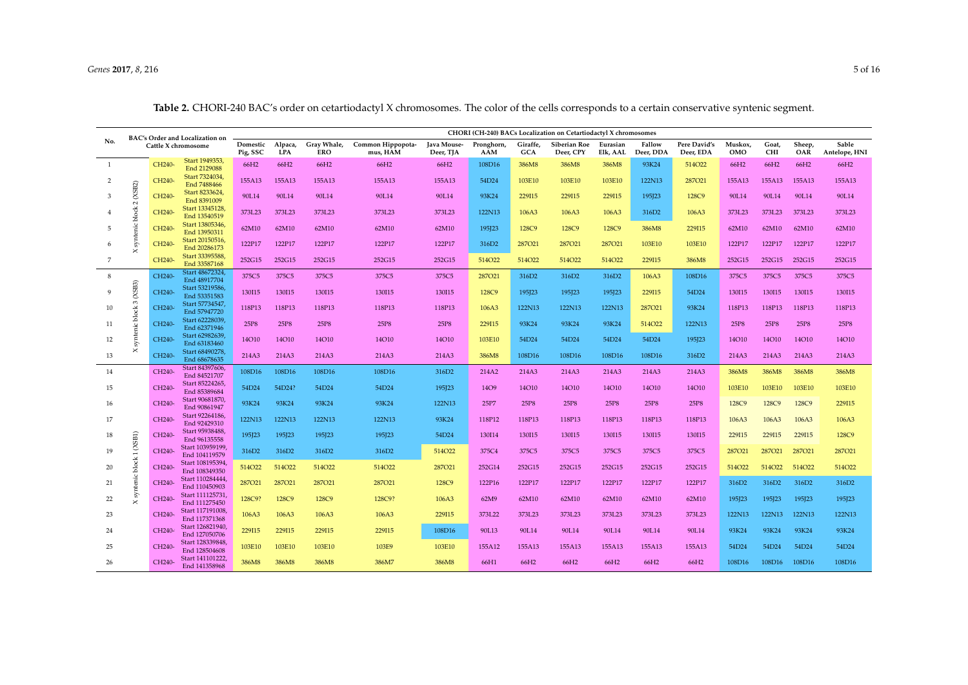#### *Genes* **2017**, *8*, 216 5 of 16

<span id="page-5-0"></span>

| BAC's Order and Localization on<br>No.<br>Cattle X chromosome |                          | CHORI (CH-240) BACs Localization on Cetartiodactyl X chromosomes |                                   |                           |                               |                          |                   |                 |                           |                      |                     |                           |                |                     |               |                        |        |        |
|---------------------------------------------------------------|--------------------------|------------------------------------------------------------------|-----------------------------------|---------------------------|-------------------------------|--------------------------|-------------------|-----------------|---------------------------|----------------------|---------------------|---------------------------|----------------|---------------------|---------------|------------------------|--------|--------|
|                                                               |                          | Domestic<br>Pig, SSC                                             | Alpaca,<br><b>LPA</b>             | Gray Whale,<br><b>ERO</b> | Common Hippopota-<br>mus, HAM | Java Mouse-<br>Deer, TJA | Pronghorn,<br>AAM | Giraffe,<br>GCA | Siberian Roe<br>Deer, CPY | Eurasian<br>Elk, AAL | Fallow<br>Deer, DDA | Pere David's<br>Deer, EDA | Muskox,<br>OMO | Goat,<br><b>CHI</b> | Sheep,<br>OAR | Sable<br>Antelope, HNI |        |        |
| <sup>1</sup>                                                  |                          | CH240-                                                           | Start 1949353,<br>End 2129088     | 66H2                      | 66H2                          | 66H2                     | 66H2              | 66H2            | 108D16                    | 386M8                | 386M8               | 386M8                     | 93K24          | 514O22              | 66H2          | 66H2                   | 66H2   | 66H2   |
| 2                                                             |                          | CH240-                                                           | Start 7324034<br>End 7488466      | 155A13                    | 155A13                        | 155A13                   | 155A13            | 155A13          | 54D24                     | 103E10               | 103E10              | 103E10                    | 122N13         | 287021              | 155A13        | 155A13                 | 155A13 | 155A13 |
| 3                                                             | 2(XSB2)                  | CH240-                                                           | Start 8233624<br>End 8391009      | 90L14                     | 90L14                         | 90L14                    | 90L14             | 90L14           | 93K24                     | 229I15               | 229I15              | 229I15                    | 195]23         | 128C9               | 90L14         | 90L14                  | 90L14  | 90L14  |
|                                                               | syntenic block           | CH240-                                                           | Start 13345128,<br>End 13540519   | 373L23                    | 373L23                        | 373L23                   | 373L23            | 373L23          | 122N13                    | 106A3                | 106A3               | 106A3                     | 316D2          | 106A3               | 373L23        | 373L23                 | 373L23 | 373L23 |
| 5                                                             |                          | CH240-                                                           | Start 13805346,<br>End 13950311   | 62M10                     | 62M10                         | 62M10                    | 62M10             | 62M10           | 195]23                    | 128C9                | 128C9               | 128C9                     | 386M8          | 229I15              | 62M10         | 62M10                  | 62M10  | 62M10  |
| 6                                                             | $\times$                 | CH240-                                                           | Start 20150516,<br>End 20286173   | 122P17                    | 122P17                        | 122P17                   | 122P17            | 122P17          | 316D2                     | 287021               | 287021              | 287021                    | 103E10         | 103E10              | 122P17        | 122P17                 | 122P17 | 122P17 |
| $\overline{7}$                                                |                          | CH240-                                                           | Start 33395588,<br>End 33587168   | 252G15                    | 252G15                        | 252G15                   | 252G15            | 252G15          | 514O22                    | 514O22               | 514O22              | 514O22                    | 229I15         | 386M8               | 252G15        | 252G15                 | 252G15 | 252G15 |
| 8                                                             |                          | CH240-                                                           | Start 48672324,<br>End 48917704   | 375C5                     | 375C5                         | 375C5                    | 375C5             | 375C5           | 287021                    | 316D2                | 316D2               | 316D2                     | 106A3          | 108D16              | 375C5         | 375C5                  | 375C5  | 375C5  |
| $\mathbf{Q}$                                                  | (XSB3)                   | CH240-                                                           | Start 53219586,<br>End 53351583   | 130115                    | 130115                        | 130115                   | 130115            | 130115          | 128C9                     | 195J23               | 195J23              | 195J23                    | 229I15         | 54D24               | 130115        | 130115                 | 130115 | 130I15 |
| 10                                                            | syntenic block 3         | CH240-                                                           | Start 57734547,<br>End 57947720   | 118P13                    | 118P13                        | 118P13                   | 118P13            | 118P13          | 106A3                     | 122N13               | 122N13              | 122N13                    | 287021         | 93K24               | 118P13        | 118P13                 | 118P13 | 118P13 |
| 11                                                            |                          | CH240-                                                           | Start 62228039,<br>End 62371946   | 25P8                      | 25P8                          | 25P8                     | 25P8              | 25P8            | 229I15                    | 93K24                | 93K24               | 93K24                     | 514O22         | 122N13              | 25P8          | 25P8                   | 25P8   | 25P8   |
| 12                                                            |                          | CH240-                                                           | Start 62982639,<br>End 63183460   | 14O10                     | 14O10                         | 14O10                    | 14O10             | 14O10           | 103E10                    | 54D24                | 54D24               | 54D24                     | 54D24          | 195]23              | 14O10         | <b>14O10</b>           | 14O10  | 14O10  |
| 13                                                            | $\times$                 | CH240-                                                           | Start 68490278,<br>End 68678635   | 214A3                     | 214A3                         | 214A3                    | 214A3             | 214A3           | 386M8                     | 108D16               | 108D16              | 108D16                    | 108D16         | 316D <sub>2</sub>   | 214A3         | 214A3                  | 214A3  | 214A3  |
| 14                                                            |                          | CH240-                                                           | Start 84397606,<br>End 84521707   | 108D16                    | 108D16                        | 108D16                   | 108D16            | 316D2           | 214A2                     | 214A3                | 214A3               | 214A3                     | 214A3          | 214A3               | 386M8         | 386M8                  | 386M8  | 386M8  |
| 15                                                            |                          | CH240-                                                           | Start 85224265,<br>End 85389684   | 54D24                     | 54D24?                        | 54D24                    | 54D24             | 195]23          | <b>14O9</b>               | 14O10                | 14O10               | 14O10                     | 14O10          | 14O10               | 103E10        | 103E10                 | 103E10 | 103E10 |
| 16                                                            |                          | CH240-                                                           | Start 90681870,<br>End 90861947   | 93K24                     | 93K24                         | 93K24                    | 93K24             | 122N13          | 25P7                      | 25P8                 | 25P8                | 25P8                      | 25P8           | 25P8                | 128C9         | 128C9                  | 128C9  | 229I15 |
| 17                                                            |                          | CH240-                                                           | Start 92264186,<br>End 92429310   | 122N13                    | 122N13                        | 122N13                   | 122N13            | 93K24           | 118P12                    | 118P13               | 118P13              | 118P13                    | 118P13         | 118P13              | 106A3         | 106A3                  | 106A3  | 106A3  |
| 18                                                            | $\left($ XSB1) $\right)$ | CH240-                                                           | Start 95938488,<br>End 96135558   | 195]23                    | 195]23                        | 195J23                   | 195J23            | 54D24           | 130I14                    | 130115               | 130115              | 130115                    | 130I15         | 130115              | 229I15        | 229I15                 | 229I15 | 128C9  |
| 19                                                            |                          | CH240-                                                           | Start 103959199,<br>End 104119579 | 316D <sub>2</sub>         | 316D <sub>2</sub>             | 316D <sub>2</sub>        | 316D2             | 514O22          | 375C4                     | 375C5                | 375C5               | 375C5                     | 375C5          | 375C5               | 287021        | 287021                 | 287021 | 287021 |
| 20                                                            | block <sub>1</sub>       | CH240-                                                           | Start 108195394,<br>End 108349350 | 514O22                    | 514O22                        | 514O22                   | 514O22            | 287021          | 252G14                    | 252G15               | 252G15              | 252G15                    | 252G15         | 252G15              | 514O22        | 514O22                 | 514O22 | 514O22 |
| 21                                                            | Xsyntenic                | CH240-                                                           | Start 110284444,<br>End 110450903 | 287021                    | 287021                        | 287021                   | 287021            | 128C9           | 122P16                    | 122P17               | 122P17              | 122P17                    | 122P17         | 122P17              | 316D2         | 316D2                  | 316D2  | 316D2  |
| 22                                                            |                          | CH240-                                                           | Start 111125731,<br>End 111275450 | 128C9?                    | 128C9                         | 128C9                    | 128C9?            | 106A3           | 62M9                      | 62M10                | 62M10               | 62M10                     | 62M10          | 62M10               | 195]23        | 195]23                 | 195]23 | 195]23 |
| 23                                                            |                          | CH240-                                                           | Start 117191008,<br>End 117371368 | 106A3                     | 106A3                         | 106A3                    | 106A3             | 229I15          | 373L22                    | 373L23               | 373L23              | 373L23                    | 373L23         | 373L23              | 122N13        | 122N13                 | 122N13 | 122N13 |
| 24                                                            |                          | CH240-                                                           | Start 126821940,<br>End 127050706 | 229I15                    | 229I15                        | 229I15                   | 229I15            | 108D16          | 90L13                     | 90L14                | 90L14               | 90L14                     | 90L14          | 90L14               | 93K24         | 93K24                  | 93K24  | 93K24  |
| 25                                                            |                          | CH240-                                                           | Start 128339848,<br>End 128504608 | 103E10                    | 103E10                        | 103E10                   | 103E9             | 103E10          | 155A12                    | 155A13               | 155A13              | 155A13                    | 155A13         | 155A13              | 54D24         | 54D24                  | 54D24  | 54D24  |
| 26                                                            |                          | CH240-                                                           | Start 141101222,<br>End 141358968 | 386M8                     | 386M8                         | 386M8                    | 386M7             | 386M8           | 66H1                      | 66H2                 | 66H2                | 66H2                      | 66H2           | 66H2                | 108D16        | 108D16                 | 108D16 | 108D16 |

**Table 2.** CHORI-240 BAC's order on cetartiodactyl X chromosomes. The color of the cells corresponds to a certain conservative syntenic segment.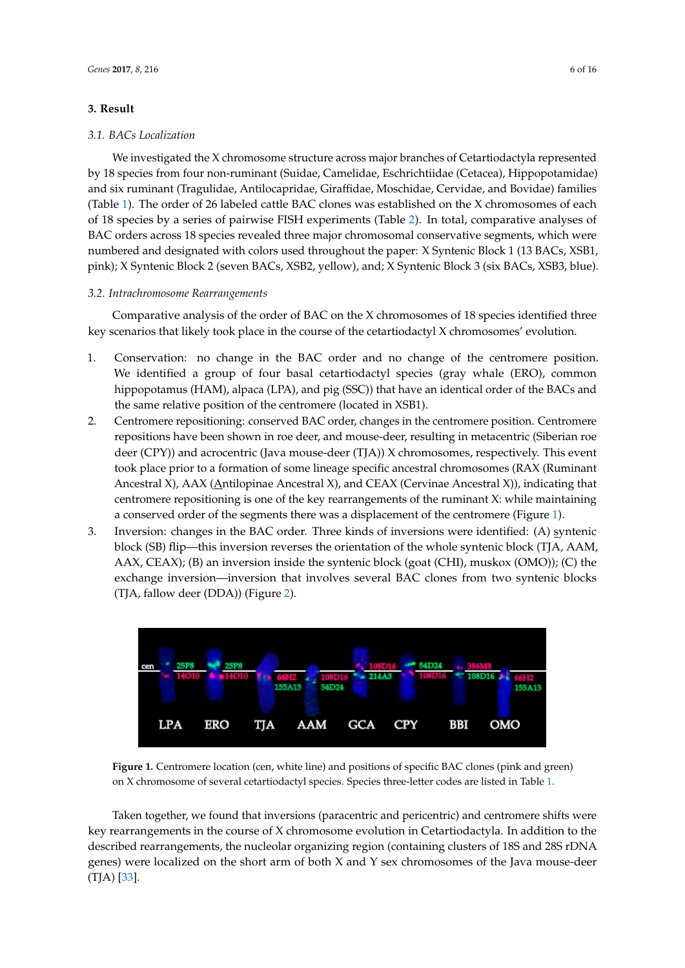#### <span id="page-6-0"></span>**3. Result**

#### *3.1. BACs Localization*

We investigated the X chromosome structure across major branches of Cetartiodactyla represented by 18 species from four non-ruminant (Suidae, Camelidae, Eschrichtiidae (Cetacea), Hippopotamidae) and six ruminant (Tragulidae, Antilocapridae, Giraffidae, Moschidae, Cervidae, and Bovidae) families (Table [1\)](#page-2-0). The order of 26 labeled cattle BAC clones was established on the X chromosomes of each of 18 species by a series of pairwise FISH experiments (Table [2\)](#page-4-0). In total, comparative analyses of BAC orders across 18 species revealed three major chromosomal conservative segments, which were numbered and designated with colors used throughout the paper: X Syntenic Block 1 (13 BACs, XSB1, pink); X Syntenic Block 2 (seven BACs, XSB2, yellow), and; X Syntenic Block 3 (six BACs, XSB3, blue).

#### *3.2. Intrachromosome Rearrangements*

Comparative analysis of the order of BAC on the X chromosomes of 18 species identified three key scenarios that likely took place in the course of the cetartiodactyl X chromosomes' evolution.

- 1. Conservation: no change in the BAC order and no change of the centromere position. We identified a group of four basal cetartiodactyl species (gray whale (ERO), common hippopotamus (HAM), alpaca (LPA), and pig (SSC)) that have an identical order of the BACs and the same relative position of the centromere (located in XSB1).
- 2. Centromere repositioning: conserved BAC order, changes in the centromere position. Centromere repositions have been shown in roe deer, and mouse-deer, resulting in metacentric (Siberian roe deer (CPY)) and acrocentric (Java mouse-deer (TJA)) X chromosomes, respectively. This event took place prior to a formation of some lineage specific ancestral chromosomes (RAX (Ruminant Ancestral X), AAX (Antilopinae Ancestral X), and CEAX (Cervinae Ancestral X)), indicating that centromere repositioning is one of the key rearrangements of the ruminant X: while maintaining a conserved order of the segments there was a displacement of the centromere (Figure [1\)](#page-5-0).
- 3. Inversion: changes in the BAC order. Three kinds of inversions were identified: (A) syntenic block (SB) flip—this inversion reverses the orientation of the whole syntenic block (TJA, AAM, AAX, CEAX); (B) an inversion inside the syntenic block (goat (CHI), muskox (OMO)); (C) the exchange inversion—inversion that involves several BAC clones from two syntenic blocks (TJA, fallow deer (DDA)) (Figure [2\)](#page-6-0).



**Figure 1.** Centromere location (cen, white line) and positions of specific BAC clones (pink and green) on X chromosome of several cetartiodactyl species. Species three-letter codes are listed in Table [1.](#page-2-0)

Taken together, we found that inversions (paracentric and pericentric) and centromere shifts were key rearrangements in the course of X chromosome evolution in Cetartiodactyla. In addition to the described rearrangements, the nucleolar organizing region (containing clusters of 18S and 28S rDNA genes) were localized on the short arm of both X and Y sex chromosomes of the Java mouse-deer (TJA) [\[33\]](#page-13-13).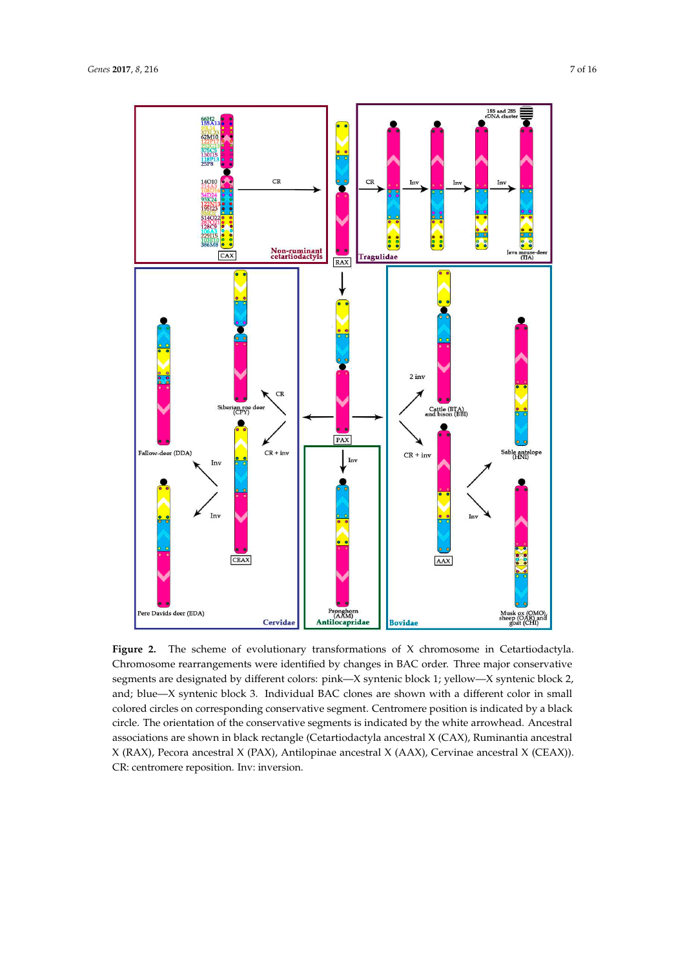

<span id="page-7-0"></span>Figure 2. The scheme of evolutionary transformations of X chromosome in Cetartiodactyla. Chromosome rearrangements were identified by changes in BAC order. Three major conservative segments are designated by different colors: pink—X syntenic block 1; yellow—X syntenic block 2, and; blue—X syntenic block 3. Individual BAC clones are shown with a different color in small colored circles on corresponding conservative segment. Centromere position is indicated by a black circle. The orientation of the conservative segments is indicated by the white arrowhead. Ancestral associations are shown in black rectangle (Cetartiodactyla ancestral X (CAX), Ruminantia ancestral X (RAX), Pecora ancestral X (PAX), Antilopinae ancestral X (AAX), Cervinae ancestral X (CEAX)). CR: centromere reposition. Inv: inversion.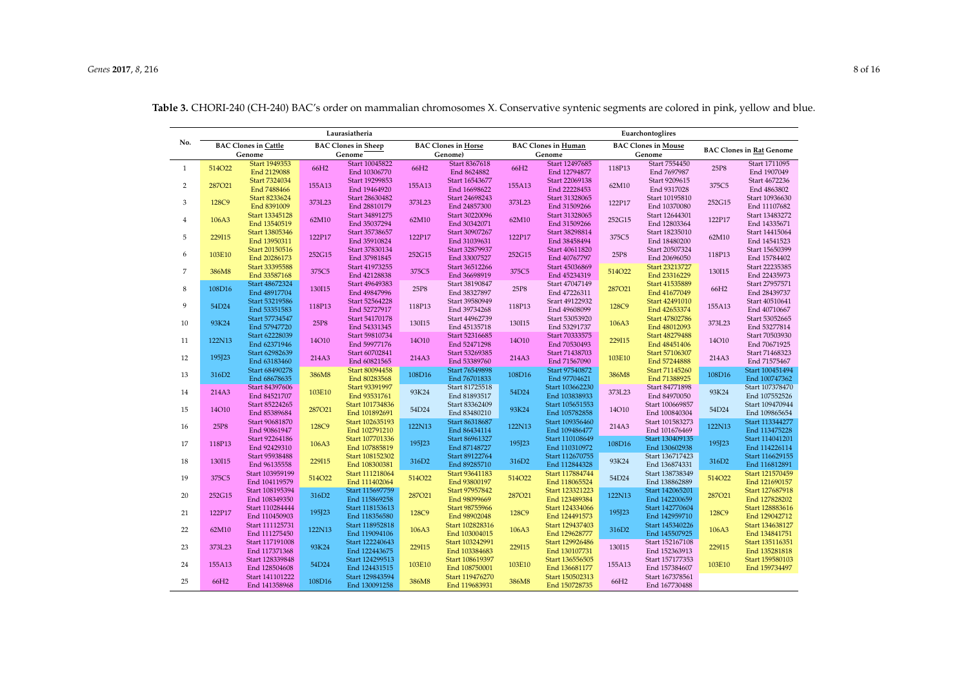|                |                                       |                                  |                                      | Laurasiatheria                   |                                       | Euarchontoglires                 |                                      |                                  |        |                                      |                                 |                                  |
|----------------|---------------------------------------|----------------------------------|--------------------------------------|----------------------------------|---------------------------------------|----------------------------------|--------------------------------------|----------------------------------|--------|--------------------------------------|---------------------------------|----------------------------------|
| No.            | <b>BAC Clones in Cattle</b><br>Genome |                                  | <b>BAC Clones in Sheep</b><br>Genome |                                  | <b>BAC Clones in Horse</b><br>Genome) |                                  | <b>BAC Clones in Human</b><br>Genome |                                  |        | <b>BAC Clones in Mouse</b><br>Genome | <b>BAC Clones in Rat Genome</b> |                                  |
| $\mathbf{1}$   | 514O22                                | Start 1949353                    | 66H2                                 | Start 10045822                   | 66H2                                  | Start 8367618                    | 66H2                                 | Start 12497685                   | 118P13 | Start 7554450                        | 25P8                            | Start 1711095                    |
| $\overline{2}$ | 287021                                | End 2129088<br>Start 7324034     | 155A13                               | End 10306770<br>Start 19299853   | 155A13                                | End 8624882<br>Start 16543677    | 155A13                               | End 12794877<br>Start 22069138   | 62M10  | End 7697987<br>Start 9209615         | 375C5                           | End 1907049<br>Start 4672236     |
|                |                                       | End 7488466<br>Start 8233624     |                                      | End 19464920<br>Start 28630482   |                                       | End 16698622<br>Start 24698243   |                                      | End 22228453<br>Start 31328065   |        | End 9317028<br>Start 10195810        |                                 | End 4863802<br>Start 10936630    |
| 3              | 128C9                                 | End 8391009                      | 373L23                               | End 28810179                     | 373L23                                | End 24857300                     | 373L23                               | End 31509266                     | 122P17 | End 10370080                         | 252G15                          | End 11107682                     |
| $\overline{4}$ | 106A3                                 | Start 13345128<br>End 13540519   | 62M10                                | Start 34891275<br>End 35037294   | 62M10                                 | Start 30220096<br>End 30342071   | 62M10                                | Start 31328065<br>End 31509266   | 252G15 | Start 12644301<br>End 12803364       | 122P17                          | Start 13483272<br>End 14335671   |
| 5              | 229I15                                | Start 13805346<br>End 13950311   | 122P17                               | Start 35738657<br>End 35910824   | 122P17                                | Start 30907267<br>End 31039631   | 122P17                               | Start 38298814<br>End 38458494   | 375C5  | Start 18235010<br>End 18480200       | 62M10                           | Start 14415064<br>End 14541523   |
| 6              | 103E10                                | Start 20150516                   | 252G15                               | Start 37830134                   | 252G15                                | Start 32879937                   | 252G15                               | Start 40611820                   | 25P8   | Start 20507324                       | 118P13                          | Start 15650399                   |
|                |                                       | End 20286173<br>Start 33395588   |                                      | End 37981845<br>Start 41973255   |                                       | End 33007527<br>Start 36512266   |                                      | End 40767797<br>Start 45036869   |        | End 20696050<br>Start 23213727       |                                 | End 15784402<br>Start 22235385   |
| $\overline{7}$ | 386M8                                 | End 33587168                     | 375C5                                | End 42128838                     | 375C5                                 | End 36698919                     | 375C5                                | End 45234319                     | 514O22 | End 23316229                         | 130115                          | End 22435973                     |
| 8              | 108D16                                | Start 48672324<br>End 48917704   | 130115                               | Start 49649383<br>End 49847996   | 25P8                                  | Start 38190847<br>End 38327897   | 25P8                                 | Start 47047149<br>End 47226311   | 287021 | Start 41535889<br>End 41677049       | 66H2                            | Start 27957571<br>End 28439737   |
| 9              | 54D24                                 | Start 53219586                   | 118P13                               | Start 52564228                   | 118P13                                | Start 39580949                   | 118P13                               | Srart 49122932                   | 128C9  | Start 42491010                       | 155A13                          | Start 40510641                   |
|                |                                       | End 53351583<br>Start 57734547   |                                      | End 52727917<br>Start 54170178   |                                       | End 39734268<br>Start 44962739   |                                      | End 49608099<br>Start 53053920   |        | End 42653374<br>Start 47802786       |                                 | End 40710667<br>Start 53052665   |
| 10             | 93K24                                 | End 57947720<br>Start 62228039   | 25P8                                 | End 54331345                     | 130115                                | End 45135718                     | 130115                               | End 53291737                     | 106A3  | End 48012093                         | 373L23                          | End 53277814                     |
| 11             | 122N13                                | End 62371946                     | 14O10                                | Start 59810734<br>End 59977176   | 14O10                                 | Start 52316685<br>End 52471298   | 14O10                                | Start 70333575<br>End 70530493   | 229I15 | Start 48279488<br>End 48451406       | <b>14O10</b>                    | Start 70503930<br>End 70671925   |
| 12             | 195J23                                | Start 62982639<br>End 63183460   | 214A3                                | Start 60702841<br>End 60821565   | 214A3                                 | Start 53269385<br>End 53389760   | 214A3                                | Start 71438703<br>End 71567090   | 103E10 | Start 57106307<br>End 57244888       | 214A3                           | Start 71468323<br>End 71575467   |
| 13             | 316D2                                 | Start 68490278                   | 386M8                                | Start 80094458                   | 108D16                                | Start 76549898                   | 108D16                               | Start 97540872                   | 386M8  | Start 71145260                       | 108D16                          | Start 100451494                  |
|                |                                       | End 68678635<br>Start 84397606   |                                      | End 80283568<br>Start 93391997   |                                       | End 76701833<br>Start 81725518   |                                      | End 97704621<br>Start 103662230  |        | End 71388925<br>Start 84771898       |                                 | End 100747362<br>Start 107378470 |
| 14             | 214A3                                 | End 84521707                     | 103E10                               | End 93531761                     | 93K24                                 | End 81893517                     | 54D24                                | End 103838933                    | 373L23 | End 84970050                         | 93K24                           | End 107552526                    |
| 15             | 14O10                                 | Start 85224265<br>End 85389684   | 287021                               | Start 101734836<br>End 101892691 | 54D24                                 | Start 83362409<br>End 83480210   | 93K24                                | Start 105651553<br>End 105782858 | 14O10  | Start 100669857<br>End 100840304     | 54D24                           | Start 109470944<br>End 109865654 |
| 16             | 25P8                                  | Start 90681870                   | 128C9                                | Start 102635193                  | 122N13                                | Start 86318687                   | 122N13                               | Start 109356460                  | 214A3  | Start 101583273<br>End 101676469     | 122N13                          | Start 113344277                  |
| 17             | 118P13                                | End 90861947<br>Start 92264186   | 106A3                                | End 102791210<br>Start 107701336 | 195J23                                | End 86434114<br>Start 86961327   | 195]23                               | End 109486477<br>Start 110108649 | 108D16 | Start 130409135                      | 195J23                          | End 113475228<br>Start 114041201 |
|                |                                       | End 92429310<br>Start 95938488   |                                      | End 107885819<br>Start 108152302 |                                       | End 87148727<br>Start 89122764   |                                      | End 110310972<br>Start 112670755 |        | End 130602938<br>Start 136717423     |                                 | End 114226114<br>Start 116629155 |
| 18             | 130115                                | End 96135558                     | 229I15                               | End 108300381                    | 316D2                                 | End 89285710                     | 316D2                                | End 112844328                    | 93K24  | End 136874331                        | 316D2                           | End 116812891                    |
| 19             | 375C5                                 | Start 103959199<br>End 104119579 | 514O22                               | Start 111218064<br>End 111402064 | 514O22                                | Start 93641183<br>End 93800197   | 514O22                               | Start 117884744<br>End 118065524 | 54D24  | Start 138738349<br>End 138862889     | 514O22                          | Start 121570459<br>End 121690157 |
| 20             | 252G15                                | Start 108195394                  | 316D2                                | Start 115697759                  | 287021                                | Start 97957842                   | 287021                               | Start 123321223                  | 122N13 | Start 142065201                      | 287021                          | Start 127687918                  |
|                |                                       | End 108349350<br>Start 110284444 |                                      | End 115869258<br>Start 118153613 |                                       | End 98099669<br>Start 98755966   |                                      | End 123489384<br>Start 124334066 |        | End 142200659<br>Start 142770604     |                                 | End 127828202<br>Start 128883616 |
| 21             | 122P17                                | End 110450903                    | 195J23                               | End 118356580<br>Start 118952818 | 128C9                                 | End 98902048<br>Start 102828316  | 128C9                                | End 124491573                    | 195J23 | End 142959710                        | 128C9                           | End 129042712                    |
| 22             | 62M10                                 | Start 111125731<br>End 111275450 | 122N13                               | End 119094106                    | 106A3                                 | End 103004015                    | 106A3                                | Start 129437403<br>End 129628777 | 316D2  | Start 145340226<br>End 145507925     | 106A3                           | Start 134638127<br>End 134841751 |
| 23             | 373L23                                | Start 117191008<br>End 117371368 | 93K24                                | Start 122240643<br>End 122443675 | 229I15                                | Start 103242991<br>End 103384683 | 229I15                               | Start 129926486<br>End 130107731 | 130115 | Start 152167108<br>End 152363913     | 229I15                          | Start 135116351<br>End 135281818 |
| 24             | 155A13                                | Start 128339848                  | 54D24                                | Start 124299513                  | 103E10                                | Start 108619397                  | 103E10                               | Start 136556505                  | 155A13 | Start 157177353                      | 103E10                          | Start 159580103                  |
|                |                                       | End 128504608<br>Start 141101222 |                                      | End 124431515<br>Start 129843594 |                                       | End 108750001<br>Start 119476270 |                                      | End 136681177<br>Start 150502313 |        | End 157384607<br>Start 167378561     |                                 | End 159734497                    |
| 25             | 66H2                                  | End 141358968                    | 108D16                               | End 130091258                    | 386M8                                 | End 119683931                    | 386M8                                | End 150728735                    | 66H2   | End 167730488                        |                                 |                                  |

**Table 3.** CHORI-240 (CH-240) BAC's order on mammalian chromosomes X. Conservative syntenic segments are colored in pink, yellow and blue.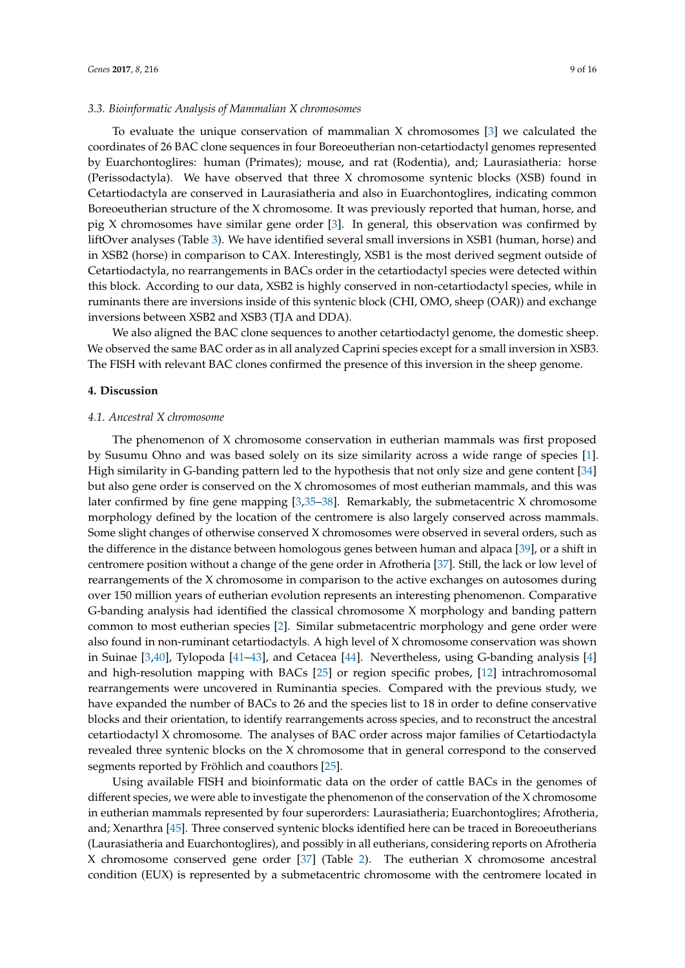#### *3.3. Bioinformatic Analysis of Mammalian X chromosomes*

To evaluate the unique conservation of mammalian X chromosomes [\[3\]](#page-12-2) we calculated the coordinates of 26 BAC clone sequences in four Boreoeutherian non-cetartiodactyl genomes represented by Euarchontoglires: human (Primates); mouse, and rat (Rodentia), and; Laurasiatheria: horse (Perissodactyla). We have observed that three X chromosome syntenic blocks (XSB) found in Cetartiodactyla are conserved in Laurasiatheria and also in Euarchontoglires, indicating common Boreoeutherian structure of the X chromosome. It was previously reported that human, horse, and pig X chromosomes have similar gene order [\[3\]](#page-12-2). In general, this observation was confirmed by liftOver analyses (Table [3\)](#page-7-0). We have identified several small inversions in XSB1 (human, horse) and in XSB2 (horse) in comparison to CAX. Interestingly, XSB1 is the most derived segment outside of Cetartiodactyla, no rearrangements in BACs order in the cetartiodactyl species were detected within this block. According to our data, XSB2 is highly conserved in non-cetartiodactyl species, while in ruminants there are inversions inside of this syntenic block (CHI, OMO, sheep (OAR)) and exchange inversions between XSB2 and XSB3 (TJA and DDA).

<span id="page-9-0"></span>We also aligned the BAC clone sequences to another cetartiodactyl genome, the domestic sheep. We observed the same BAC order as in all analyzed Caprini species except for a small inversion in XSB3. The FISH with relevant BAC clones confirmed the presence of this inversion in the sheep genome.

#### **4. Discussion**

#### *4.1. Ancestral X chromosome*

The phenomenon of X chromosome conservation in eutherian mammals was first proposed by Susumu Ohno and was based solely on its size similarity across a wide range of species [\[1\]](#page-12-0). High similarity in G-banding pattern led to the hypothesis that not only size and gene content [\[34\]](#page-14-0) but also gene order is conserved on the X chromosomes of most eutherian mammals, and this was later confirmed by fine gene mapping  $[3,35-38]$  $[3,35-38]$ . Remarkably, the submetacentric X chromosome morphology defined by the location of the centromere is also largely conserved across mammals. Some slight changes of otherwise conserved X chromosomes were observed in several orders, such as the difference in the distance between homologous genes between human and alpaca [\[39\]](#page-14-3), or a shift in centromere position without a change of the gene order in Afrotheria [\[37\]](#page-14-4). Still, the lack or low level of rearrangements of the X chromosome in comparison to the active exchanges on autosomes during over 150 million years of eutherian evolution represents an interesting phenomenon. Comparative G-banding analysis had identified the classical chromosome X morphology and banding pattern common to most eutherian species [\[2\]](#page-12-1). Similar submetacentric morphology and gene order were also found in non-ruminant cetartiodactyls. A high level of X chromosome conservation was shown in Suinae [\[3,](#page-12-2)[40\]](#page-14-5), Tylopoda [\[41–](#page-14-6)[43\]](#page-14-7), and Cetacea [\[44\]](#page-14-8). Nevertheless, using G-banding analysis [\[4\]](#page-12-3) and high-resolution mapping with BACs [\[25\]](#page-13-5) or region specific probes, [\[12\]](#page-12-7) intrachromosomal rearrangements were uncovered in Ruminantia species. Compared with the previous study, we have expanded the number of BACs to 26 and the species list to 18 in order to define conservative blocks and their orientation, to identify rearrangements across species, and to reconstruct the ancestral cetartiodactyl X chromosome. The analyses of BAC order across major families of Cetartiodactyla revealed three syntenic blocks on the X chromosome that in general correspond to the conserved segments reported by Fröhlich and coauthors [\[25\]](#page-13-5).

Using available FISH and bioinformatic data on the order of cattle BACs in the genomes of different species, we were able to investigate the phenomenon of the conservation of the X chromosome in eutherian mammals represented by four superorders: Laurasiatheria; Euarchontoglires; Afrotheria, and; Xenarthra [\[45\]](#page-14-9). Three conserved syntenic blocks identified here can be traced in Boreoeutherians (Laurasiatheria and Euarchontoglires), and possibly in all eutherians, considering reports on Afrotheria X chromosome conserved gene order [\[37\]](#page-14-4) (Table [2\)](#page-4-0). The eutherian X chromosome ancestral condition (EUX) is represented by a submetacentric chromosome with the centromere located in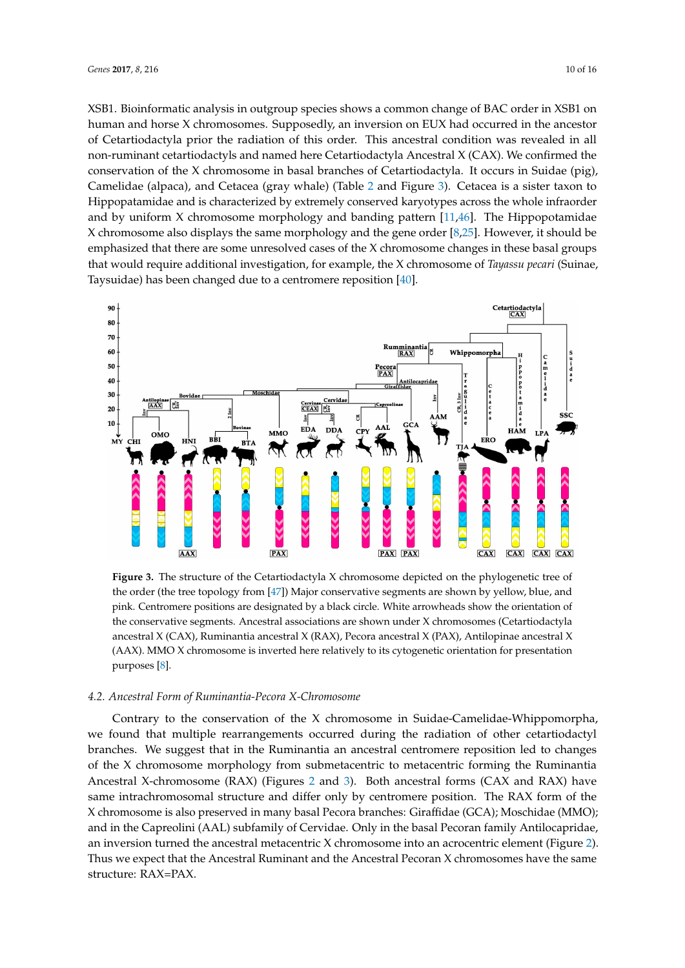XSB1. Bioinformatic analysis in outgroup species shows a common change of BAC order in XSB1 on human and horse X chromosomes. Supposedly, an inversion on EUX had occurred in the ancestor of Cetartiodactyla prior the radiation of this order. This ancestral condition was revealed in all non-ruminant cetartiodactyls and named here Cetartiodactyla Ancestral X (CAX). We confirmed the conservation of the X chromosome in basal branches of Cetartiodactyla. It occurs in Suidae (pig), Camelidae (alpaca), and Cetacea (gray whale) (Table [2](#page-4-0) and Figure [3\)](#page-9-0). Cetacea is a sister taxon to Hippopatamidae and is characterized by extremely conserved karyotypes across the whole infraorder and by uniform X chromosome morphology and banding pattern  $[11,46]$  $[11,46]$ . The Hippopotamidae X chromosome also displays the same morphology and the gene order [\[8](#page-12-9)[,25\]](#page-13-5). However, it should be emphasized that there are some unresolved cases of the X chromosome changes in these basal groups that would require additional investigation, for example, the X chromosome of *Tayassu pecari* (Suinae, Taysuidae) has been changed due to a centromere reposition [\[40\]](#page-14-5).



**Figure 3.** The structure of the Cetartiodactyla X chromosome depicted on the phylogenetic tree of the order (the tree topology from [\[47\]](#page-14-11)) Major conservative segments are shown by yellow, blue, and pink. Centromere positions are designated by a black circle. White arrowheads show the orientation of the conservative segments. Ancestral associations are shown under X chromosomes (Cetartiodactyla ancestral X (CAX), Ruminantia ancestral X (RAX), Pecora ancestral X (PAX), Antilopinae ancestral X (AAX). MMO X chromosome is inverted here relatively to its cytogenetic orientation for presentation purposes [\[8\]](#page-12-9).

#### *4.2. Ancestral Form of Ruminantia-Pecora X-Chromosome*

Contrary to the conservation of the X chromosome in Suidae-Camelidae-Whippomorpha, we found that multiple rearrangements occurred during the radiation of other cetartiodactyl branches. We suggest that in the Ruminantia an ancestral centromere reposition led to changes of the X chromosome morphology from submetacentric to metacentric forming the Ruminantia Ancestral X-chromosome (RAX) (Figures [2](#page-6-0) and [3\)](#page-9-0). Both ancestral forms (CAX and RAX) have same intrachromosomal structure and differ only by centromere position. The RAX form of the X chromosome is also preserved in many basal Pecora branches: Giraffidae (GCA); Moschidae (MMO); and in the Capreolini (AAL) subfamily of Cervidae. Only in the basal Pecoran family Antilocapridae, an inversion turned the ancestral metacentric X chromosome into an acrocentric element (Figure [2\)](#page-6-0). Thus we expect that the Ancestral Ruminant and the Ancestral Pecoran X chromosomes have the same structure: RAX=PAX.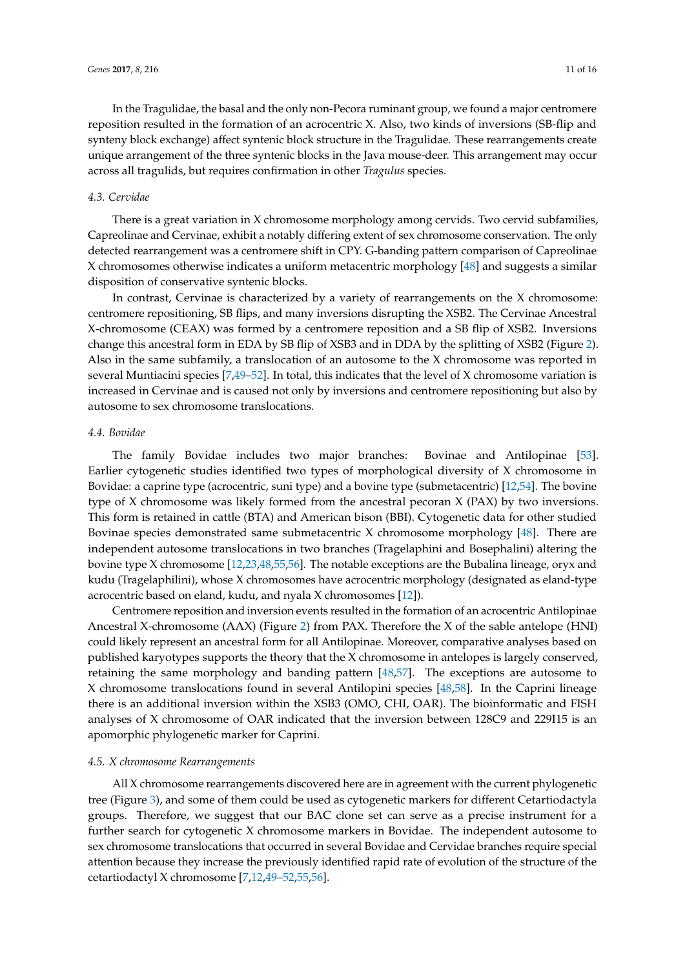In the Tragulidae, the basal and the only non-Pecora ruminant group, we found a major centromere reposition resulted in the formation of an acrocentric X. Also, two kinds of inversions (SB-flip and synteny block exchange) affect syntenic block structure in the Tragulidae. These rearrangements create unique arrangement of the three syntenic blocks in the Java mouse-deer. This arrangement may occur across all tragulids, but requires confirmation in other *Tragulus* species.

#### *4.3. Cervidae*

There is a great variation in X chromosome morphology among cervids. Two cervid subfamilies, Capreolinae and Cervinae, exhibit a notably differing extent of sex chromosome conservation. The only detected rearrangement was a centromere shift in CPY. G-banding pattern comparison of Capreolinae X chromosomes otherwise indicates a uniform metacentric morphology [\[48\]](#page-14-12) and suggests a similar disposition of conservative syntenic blocks.

In contrast, Cervinae is characterized by a variety of rearrangements on the X chromosome: centromere repositioning, SB flips, and many inversions disrupting the XSB2. The Cervinae Ancestral X-chromosome (CEAX) was formed by a centromere reposition and a SB flip of XSB2. Inversions change this ancestral form in EDA by SB flip of XSB3 and in DDA by the splitting of XSB2 (Figure [2\)](#page-6-0). Also in the same subfamily, a translocation of an autosome to the X chromosome was reported in several Muntiacini species  $[7,49-52]$  $[7,49-52]$ . In total, this indicates that the level of X chromosome variation is increased in Cervinae and is caused not only by inversions and centromere repositioning but also by autosome to sex chromosome translocations.

#### *4.4. Bovidae*

The family Bovidae includes two major branches: Bovinae and Antilopinae [\[53\]](#page-14-15). Earlier cytogenetic studies identified two types of morphological diversity of X chromosome in Bovidae: a caprine type (acrocentric, suni type) and a bovine type (submetacentric) [\[12](#page-12-7)[,54\]](#page-14-16). The bovine type of X chromosome was likely formed from the ancestral pecoran X (PAX) by two inversions. This form is retained in cattle (BTA) and American bison (BBI). Cytogenetic data for other studied Bovinae species demonstrated same submetacentric  $X$  chromosome morphology  $[48]$ . There are independent autosome translocations in two branches (Tragelaphini and Bosephalini) altering the bovine type X chromosome [\[12](#page-12-7)[,23](#page-13-4)[,48,](#page-14-12)[55,](#page-15-0)[56\]](#page-15-1). The notable exceptions are the Bubalina lineage, oryx and kudu (Tragelaphilini), whose X chromosomes have acrocentric morphology (designated as eland-type acrocentric based on eland, kudu, and nyala X chromosomes [\[12\]](#page-12-7)).

Centromere reposition and inversion events resulted in the formation of an acrocentric Antilopinae Ancestral X-chromosome (AAX) (Figure [2\)](#page-6-0) from PAX. Therefore the X of the sable antelope (HNI) could likely represent an ancestral form for all Antilopinae. Moreover, comparative analyses based on published karyotypes supports the theory that the X chromosome in antelopes is largely conserved, retaining the same morphology and banding pattern [\[48,](#page-14-12)[57\]](#page-15-2). The exceptions are autosome to X chromosome translocations found in several Antilopini species [\[48](#page-14-12)[,58\]](#page-15-3). In the Caprini lineage there is an additional inversion within the XSB3 (OMO, CHI, OAR). The bioinformatic and FISH analyses of X chromosome of OAR indicated that the inversion between 128C9 and 229I15 is an apomorphic phylogenetic marker for Caprini.

#### *4.5. X chromosome Rearrangements*

All X chromosome rearrangements discovered here are in agreement with the current phylogenetic tree (Figure [3\)](#page-9-0), and some of them could be used as cytogenetic markers for different Cetartiodactyla groups. Therefore, we suggest that our BAC clone set can serve as a precise instrument for a further search for cytogenetic X chromosome markers in Bovidae. The independent autosome to sex chromosome translocations that occurred in several Bovidae and Cervidae branches require special attention because they increase the previously identified rapid rate of evolution of the structure of the cetartiodactyl X chromosome [\[7](#page-12-11)[,12](#page-12-7)[,49–](#page-14-13)[52](#page-14-14)[,55](#page-15-0)[,56\]](#page-15-1).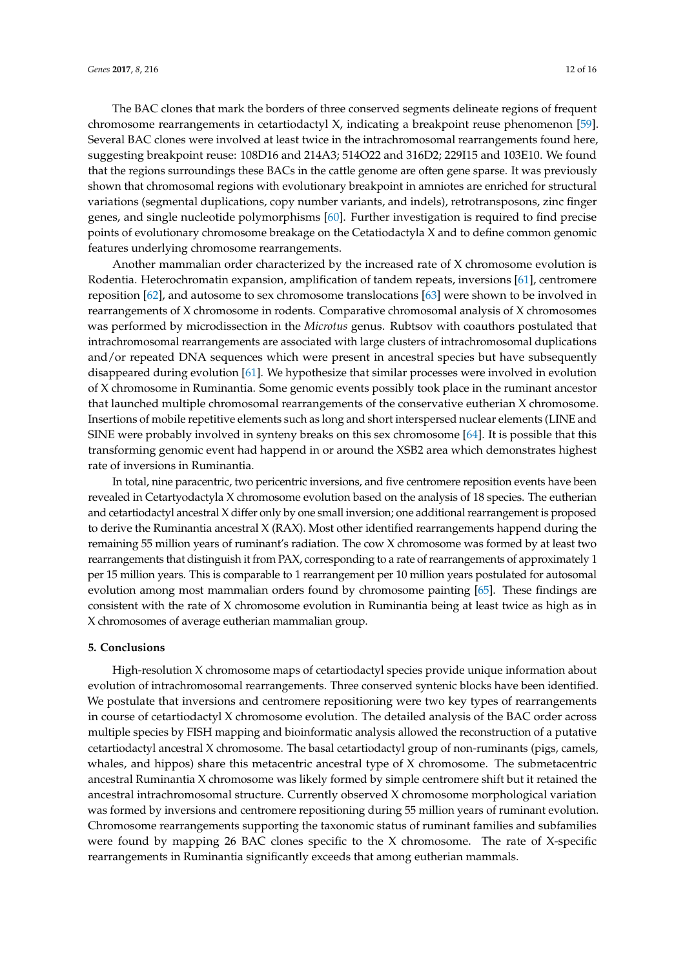The BAC clones that mark the borders of three conserved segments delineate regions of frequent chromosome rearrangements in cetartiodactyl X, indicating a breakpoint reuse phenomenon [\[59\]](#page-15-4). Several BAC clones were involved at least twice in the intrachromosomal rearrangements found here, suggesting breakpoint reuse: 108D16 and 214A3; 514O22 and 316D2; 229I15 and 103E10. We found that the regions surroundings these BACs in the cattle genome are often gene sparse. It was previously shown that chromosomal regions with evolutionary breakpoint in amniotes are enriched for structural variations (segmental duplications, copy number variants, and indels), retrotransposons, zinc finger genes, and single nucleotide polymorphisms [\[60\]](#page-15-5). Further investigation is required to find precise points of evolutionary chromosome breakage on the Cetatiodactyla X and to define common genomic features underlying chromosome rearrangements.

<span id="page-12-0"></span>Another mammalian order characterized by the increased rate of X chromosome evolution is Rodentia. Heterochromatin expansion, amplification of tandem repeats, inversions [\[61\]](#page-15-6), centromere reposition [\[62\]](#page-15-7), and autosome to sex chromosome translocations [\[63\]](#page-15-8) were shown to be involved in rearrangements of X chromosome in rodents. Comparative chromosomal analysis of X chromosomes was performed by microdissection in the *Microtus* genus. Rubtsov with coauthors postulated that intrachromosomal rearrangements are associated with large clusters of intrachromosomal duplications and/or repeated DNA sequences which were present in ancestral species but have subsequently disappeared during evolution [\[61\]](#page-15-6). We hypothesize that similar processes were involved in evolution of X chromosome in Ruminantia. Some genomic events possibly took place in the ruminant ancestor that launched multiple chromosomal rearrangements of the conservative eutherian X chromosome. Insertions of mobile repetitive elements such as long and short interspersed nuclear elements (LINE and SINE were probably involved in synteny breaks on this sex chromosome [\[64\]](#page-15-9). It is possible that this transforming genomic event had happend in or around the XSB2 area which demonstrates highest rate of inversions in Ruminantia.

<span id="page-12-11"></span><span id="page-12-5"></span><span id="page-12-4"></span><span id="page-12-3"></span><span id="page-12-2"></span><span id="page-12-1"></span>In total, nine paracentric, two pericentric inversions, and five centromere reposition events have been revealed in Cetartyodactyla X chromosome evolution based on the analysis of 18 species. The eutherian and cetartiodactyl ancestral X differ only by one small inversion; one additional rearrangement is proposed to derive the Ruminantia ancestral X (RAX). Most other identified rearrangements happend during the remaining 55 million years of ruminant's radiation. The cow X chromosome was formed by at least two rearrangements that distinguish it from PAX, corresponding to a rate of rearrangements of approximately 1 per 15 million years. This is comparable to 1 rearrangement per 10 million years postulated for autosomal evolution among most mammalian orders found by chromosome painting [\[65\]](#page-15-10). These findings are consistent with the rate of X chromosome evolution in Ruminantia being at least twice as high as in X chromosomes of average eutherian mammalian group.

#### <span id="page-12-9"></span>**5. Conclusions**

<span id="page-12-10"></span><span id="page-12-8"></span><span id="page-12-7"></span><span id="page-12-6"></span>High-resolution X chromosome maps of cetartiodactyl species provide unique information about evolution of intrachromosomal rearrangements. Three conserved syntenic blocks have been identified. We postulate that inversions and centromere repositioning were two key types of rearrangements in course of cetartiodactyl X chromosome evolution. The detailed analysis of the BAC order across multiple species by FISH mapping and bioinformatic analysis allowed the reconstruction of a putative cetartiodactyl ancestral X chromosome. The basal cetartiodactyl group of non-ruminants (pigs, camels, whales, and hippos) share this metacentric ancestral type of X chromosome. The submetacentric ancestral Ruminantia X chromosome was likely formed by simple centromere shift but it retained the ancestral intrachromosomal structure. Currently observed X chromosome morphological variation was formed by inversions and centromere repositioning during 55 million years of ruminant evolution. Chromosome rearrangements supporting the taxonomic status of ruminant families and subfamilies were found by mapping 26 BAC clones specific to the X chromosome. The rate of X-specific rearrangements in Ruminantia significantly exceeds that among eutherian mammals.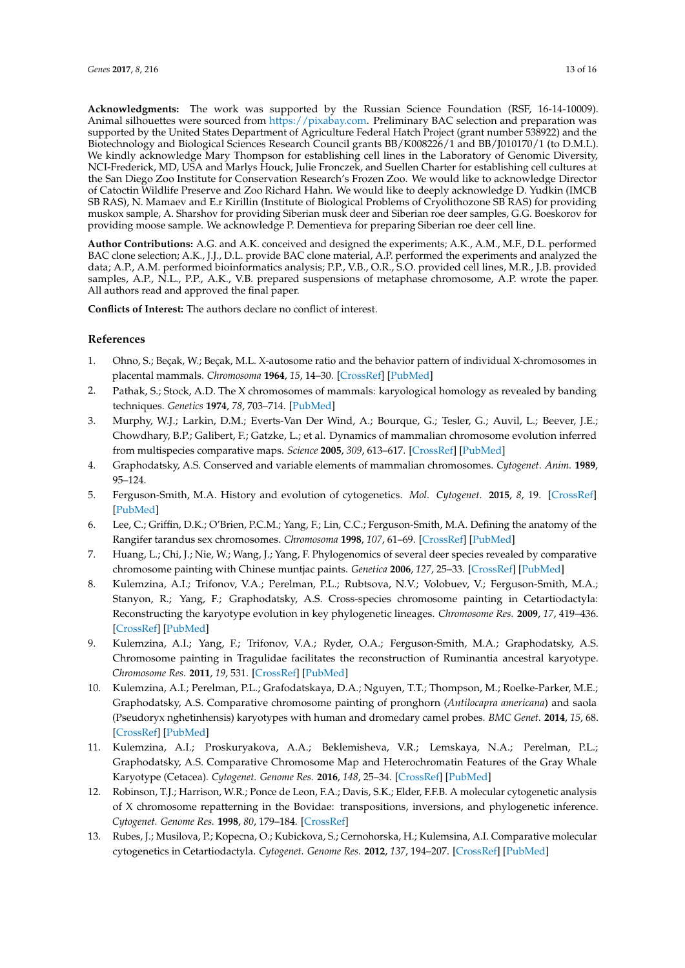<span id="page-13-0"></span>**Acknowledgments:** The work was supported by the Russian Science Foundation (RSF, 16-14-10009). Animal silhouettes were sourced from [https://pixabay.com.](https://pixabay.com) Preliminary BAC selection and preparation was supported by the United States Department of Agriculture Federal Hatch Project (grant number 538922) and the Biotechnology and Biological Sciences Research Council grants BB/K008226/1 and BB/J010170/1 (to D.M.L). We kindly acknowledge Mary Thompson for establishing cell lines in the Laboratory of Genomic Diversity, NCI-Frederick, MD, USA and Marlys Houck, Julie Fronczek, and Suellen Charter for establishing cell cultures at the San Diego Zoo Institute for Conservation Research's Frozen Zoo. We would like to acknowledge Director of Catoctin Wildlife Preserve and Zoo Richard Hahn. We would like to deeply acknowledge D. Yudkin (IMCB SB RAS), N. Mamaev and E.r Kirillin (Institute of Biological Problems of Cryolithozone SB RAS) for providing muskox sample, A. Sharshov for providing Siberian musk deer and Siberian roe deer samples, G.G. Boeskorov for providing moose sample. We acknowledge P. Dementieva for preparing Siberian roe deer cell line.

<span id="page-13-2"></span><span id="page-13-1"></span>**Author Contributions:** A.G. and A.K. conceived and designed the experiments; A.K., A.M., M.F., D.L. performed BAC clone selection; A.K., J.J., D.L. provide BAC clone material, A.P. performed the experiments and analyzed the data; A.P., A.M. performed bioinformatics analysis; P.P., V.B., O.R., S.O. provided cell lines, M.R., J.B. provided samples, A.P., N.L., P.P., A.K., V.B. prepared suspensions of metaphase chromosome, A.P. wrote the paper. All authors read and approved the final paper.

**Conflicts of Interest:** The authors declare no conflict of interest.

#### **References**

- 1. Ohno, S.; Beçak, W.; Beçak, M.L. X-autosome ratio and the behavior pattern of individual X-chromosomes in placental mammals. *Chromosoma* **1964**, *15*, 14–30. [\[CrossRef\]](http://dx.doi.org/10.1007/BF00326912) [\[PubMed\]](http://www.ncbi.nlm.nih.gov/pubmed/14171167)
- 2. Pathak, S.; Stock, A.D. The X chromosomes of mammals: karyological homology as revealed by banding techniques. *Genetics* **1974**, *78*, 703–714. [\[PubMed\]](http://www.ncbi.nlm.nih.gov/pubmed/4141315)
- 3. Murphy, W.J.; Larkin, D.M.; Everts-Van Der Wind, A.; Bourque, G.; Tesler, G.; Auvil, L.; Beever, J.E.; Chowdhary, B.P.; Galibert, F.; Gatzke, L.; et al. Dynamics of mammalian chromosome evolution inferred from multispecies comparative maps. *Science* **2005**, *309*, 613–617. [\[CrossRef\]](http://dx.doi.org/10.1126/science.1111387) [\[PubMed\]](http://www.ncbi.nlm.nih.gov/pubmed/16040707)
- <span id="page-13-3"></span>4. Graphodatsky, A.S. Conserved and variable elements of mammalian chromosomes. *Cytogenet. Anim.* **1989**, 95–124.
- <span id="page-13-4"></span>5. Ferguson-Smith, M.A. History and evolution of cytogenetics. *Mol. Cytogenet.* **2015**, *8*, 19. [\[CrossRef\]](http://dx.doi.org/10.1186/s13039-015-0125-8) [\[PubMed\]](http://www.ncbi.nlm.nih.gov/pubmed/25810762)
- 6. Lee, C.; Griffin, D.K.; O'Brien, P.C.M.; Yang, F.; Lin, C.C.; Ferguson-Smith, M.A. Defining the anatomy of the Rangifer tarandus sex chromosomes. *Chromosoma* **1998**, *107*, 61–69. [\[CrossRef\]](http://dx.doi.org/10.1007/s004120050281) [\[PubMed\]](http://www.ncbi.nlm.nih.gov/pubmed/9567201)
- 7. Huang, L.; Chi, J.; Nie, W.; Wang, J.; Yang, F. Phylogenomics of several deer species revealed by comparative chromosome painting with Chinese muntjac paints. *Genetica* **2006**, *127*, 25–33. [\[CrossRef\]](http://dx.doi.org/10.1007/s10709-005-2449-5) [\[PubMed\]](http://www.ncbi.nlm.nih.gov/pubmed/16850210)
- <span id="page-13-5"></span>8. Kulemzina, A.I.; Trifonov, V.A.; Perelman, P.L.; Rubtsova, N.V.; Volobuev, V.; Ferguson-Smith, M.A.; Stanyon, R.; Yang, F.; Graphodatsky, A.S. Cross-species chromosome painting in Cetartiodactyla: Reconstructing the karyotype evolution in key phylogenetic lineages. *Chromosome Res.* **2009**, *17*, 419–436. [\[CrossRef\]](http://dx.doi.org/10.1007/s10577-009-9032-3) [\[PubMed\]](http://www.ncbi.nlm.nih.gov/pubmed/19350402)
- <span id="page-13-6"></span>9. Kulemzina, A.I.; Yang, F.; Trifonov, V.A.; Ryder, O.A.; Ferguson-Smith, M.A.; Graphodatsky, A.S. Chromosome painting in Tragulidae facilitates the reconstruction of Ruminantia ancestral karyotype. *Chromosome Res.* **2011**, *19*, 531. [\[CrossRef\]](http://dx.doi.org/10.1007/s10577-011-9201-z) [\[PubMed\]](http://www.ncbi.nlm.nih.gov/pubmed/21445689)
- <span id="page-13-8"></span><span id="page-13-7"></span>10. Kulemzina, A.I.; Perelman, P.L.; Grafodatskaya, D.A.; Nguyen, T.T.; Thompson, M.; Roelke-Parker, M.E.; Graphodatsky, A.S. Comparative chromosome painting of pronghorn (*Antilocapra americana*) and saola (Pseudoryx nghetinhensis) karyotypes with human and dromedary camel probes. *BMC Genet.* **2014**, *15*, 68. [\[CrossRef\]](http://dx.doi.org/10.1186/1471-2156-15-68) [\[PubMed\]](http://www.ncbi.nlm.nih.gov/pubmed/24923361)
- <span id="page-13-10"></span><span id="page-13-9"></span>11. Kulemzina, A.I.; Proskuryakova, A.A.; Beklemisheva, V.R.; Lemskaya, N.A.; Perelman, P.L.; Graphodatsky, A.S. Comparative Chromosome Map and Heterochromatin Features of the Gray Whale Karyotype (Cetacea). *Cytogenet. Genome Res.* **2016**, *148*, 25–34. [\[CrossRef\]](http://dx.doi.org/10.1159/000445459) [\[PubMed\]](http://www.ncbi.nlm.nih.gov/pubmed/27088853)
- <span id="page-13-11"></span>12. Robinson, T.J.; Harrison, W.R.; Ponce de Leon, F.A.; Davis, S.K.; Elder, F.F.B. A molecular cytogenetic analysis of X chromosome repatterning in the Bovidae: transpositions, inversions, and phylogenetic inference. *Cytogenet. Genome Res.* **1998**, *80*, 179–184. [\[CrossRef\]](http://dx.doi.org/10.1159/000014976)
- <span id="page-13-13"></span><span id="page-13-12"></span>13. Rubes, J.; Musilova, P.; Kopecna, O.; Kubickova, S.; Cernohorska, H.; Kulemsina, A.I. Comparative molecular cytogenetics in Cetartiodactyla. *Cytogenet. Genome Res.* **2012**, *137*, 194–207. [\[CrossRef\]](http://dx.doi.org/10.1159/000338932) [\[PubMed\]](http://www.ncbi.nlm.nih.gov/pubmed/22627059)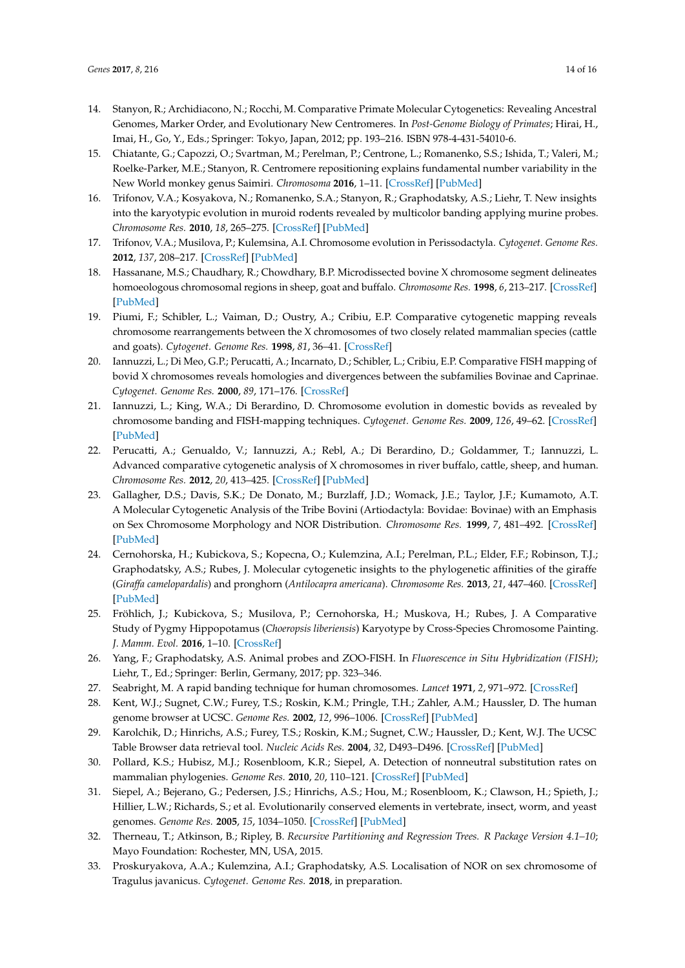- <span id="page-14-0"></span>14. Stanyon, R.; Archidiacono, N.; Rocchi, M. Comparative Primate Molecular Cytogenetics: Revealing Ancestral Genomes, Marker Order, and Evolutionary New Centromeres. In *Post-Genome Biology of Primates*; Hirai, H., Imai, H., Go, Y., Eds.; Springer: Tokyo, Japan, 2012; pp. 193–216. ISBN 978-4-431-54010-6.
- <span id="page-14-1"></span>15. Chiatante, G.; Capozzi, O.; Svartman, M.; Perelman, P.; Centrone, L.; Romanenko, S.S.; Ishida, T.; Valeri, M.; Roelke-Parker, M.E.; Stanyon, R. Centromere repositioning explains fundamental number variability in the New World monkey genus Saimiri. *Chromosoma* **2016**, 1–11. [\[CrossRef\]](http://dx.doi.org/10.1007/s00412-016-0619-0) [\[PubMed\]](http://www.ncbi.nlm.nih.gov/pubmed/27834006)
- 16. Trifonov, V.A.; Kosyakova, N.; Romanenko, S.A.; Stanyon, R.; Graphodatsky, A.S.; Liehr, T. New insights into the karyotypic evolution in muroid rodents revealed by multicolor banding applying murine probes. *Chromosome Res.* **2010**, *18*, 265–275. [\[CrossRef\]](http://dx.doi.org/10.1007/s10577-010-9110-6) [\[PubMed\]](http://www.ncbi.nlm.nih.gov/pubmed/20127166)
- <span id="page-14-4"></span>17. Trifonov, V.A.; Musilova, P.; Kulemsina, A.I. Chromosome evolution in Perissodactyla. *Cytogenet. Genome Res.* **2012**, *137*, 208–217. [\[CrossRef\]](http://dx.doi.org/10.1159/000339900) [\[PubMed\]](http://www.ncbi.nlm.nih.gov/pubmed/22813844)
- <span id="page-14-2"></span>18. Hassanane, M.S.; Chaudhary, R.; Chowdhary, B.P. Microdissected bovine X chromosome segment delineates homoeologous chromosomal regions in sheep, goat and buffalo. *Chromosome Res.* **1998**, *6*, 213–217. [\[CrossRef\]](http://dx.doi.org/10.1023/A:1009263718667) [\[PubMed\]](http://www.ncbi.nlm.nih.gov/pubmed/9609665)
- <span id="page-14-3"></span>19. Piumi, F.; Schibler, L.; Vaiman, D.; Oustry, A.; Cribiu, E.P. Comparative cytogenetic mapping reveals chromosome rearrangements between the X chromosomes of two closely related mammalian species (cattle and goats). *Cytogenet. Genome Res.* **1998**, *81*, 36–41. [\[CrossRef\]](http://dx.doi.org/10.1159/000015004)
- <span id="page-14-5"></span>20. Iannuzzi, L.; Di Meo, G.P.; Perucatti, A.; Incarnato, D.; Schibler, L.; Cribiu, E.P. Comparative FISH mapping of bovid X chromosomes reveals homologies and divergences between the subfamilies Bovinae and Caprinae. *Cytogenet. Genome Res.* **2000**, *89*, 171–176. [\[CrossRef\]](http://dx.doi.org/10.1159/000015607)
- <span id="page-14-6"></span>21. Iannuzzi, L.; King, W.A.; Di Berardino, D. Chromosome evolution in domestic bovids as revealed by chromosome banding and FISH-mapping techniques. *Cytogenet. Genome Res.* **2009**, *126*, 49–62. [\[CrossRef\]](http://dx.doi.org/10.1159/000245906) [\[PubMed\]](http://www.ncbi.nlm.nih.gov/pubmed/20016156)
- <span id="page-14-7"></span>22. Perucatti, A.; Genualdo, V.; Iannuzzi, A.; Rebl, A.; Di Berardino, D.; Goldammer, T.; Iannuzzi, L. Advanced comparative cytogenetic analysis of X chromosomes in river buffalo, cattle, sheep, and human. *Chromosome Res.* **2012**, *20*, 413–425. [\[CrossRef\]](http://dx.doi.org/10.1007/s10577-012-9285-0) [\[PubMed\]](http://www.ncbi.nlm.nih.gov/pubmed/22669522)
- <span id="page-14-9"></span><span id="page-14-8"></span>23. Gallagher, D.S.; Davis, S.K.; De Donato, M.; Burzlaff, J.D.; Womack, J.E.; Taylor, J.F.; Kumamoto, A.T. A Molecular Cytogenetic Analysis of the Tribe Bovini (Artiodactyla: Bovidae: Bovinae) with an Emphasis on Sex Chromosome Morphology and NOR Distribution. *Chromosome Res.* **1999**, *7*, 481–492. [\[CrossRef\]](http://dx.doi.org/10.1023/A:1009254014526) [\[PubMed\]](http://www.ncbi.nlm.nih.gov/pubmed/10560971)
- <span id="page-14-11"></span><span id="page-14-10"></span>24. Cernohorska, H.; Kubickova, S.; Kopecna, O.; Kulemzina, A.I.; Perelman, P.L.; Elder, F.F.; Robinson, T.J.; Graphodatsky, A.S.; Rubes, J. Molecular cytogenetic insights to the phylogenetic affinities of the giraffe (*Giraffa camelopardalis*) and pronghorn (*Antilocapra americana*). *Chromosome Res.* **2013**, *21*, 447–460. [\[CrossRef\]](http://dx.doi.org/10.1007/s10577-013-9361-0) [\[PubMed\]](http://www.ncbi.nlm.nih.gov/pubmed/23896647)
- 25. Fröhlich, J.; Kubickova, S.; Musilova, P.; Cernohorska, H.; Muskova, H.; Rubes, J. A Comparative Study of Pygmy Hippopotamus (*Choeropsis liberiensis*) Karyotype by Cross-Species Chromosome Painting. *J. Mamm. Evol.* **2016**, 1–10. [\[CrossRef\]](http://dx.doi.org/10.1007/s10914-016-9358-5)
- <span id="page-14-13"></span><span id="page-14-12"></span>26. Yang, F.; Graphodatsky, A.S. Animal probes and ZOO-FISH. In *Fluorescence in Situ Hybridization (FISH)*; Liehr, T., Ed.; Springer: Berlin, Germany, 2017; pp. 323–346.
- 27. Seabright, M. A rapid banding technique for human chromosomes. *Lancet* **1971**, *2*, 971–972. [\[CrossRef\]](http://dx.doi.org/10.1016/S0140-6736(71)90287-X)
- 28. Kent, W.J.; Sugnet, C.W.; Furey, T.S.; Roskin, K.M.; Pringle, T.H.; Zahler, A.M.; Haussler, D. The human genome browser at UCSC. *Genome Res.* **2002**, *12*, 996–1006. [\[CrossRef\]](http://dx.doi.org/10.1101/gr.229102) [\[PubMed\]](http://www.ncbi.nlm.nih.gov/pubmed/12045153)
- 29. Karolchik, D.; Hinrichs, A.S.; Furey, T.S.; Roskin, K.M.; Sugnet, C.W.; Haussler, D.; Kent, W.J. The UCSC Table Browser data retrieval tool. *Nucleic Acids Res.* **2004**, *32*, D493–D496. [\[CrossRef\]](http://dx.doi.org/10.1093/nar/gkh103) [\[PubMed\]](http://www.ncbi.nlm.nih.gov/pubmed/14681465)
- 30. Pollard, K.S.; Hubisz, M.J.; Rosenbloom, K.R.; Siepel, A. Detection of nonneutral substitution rates on mammalian phylogenies. *Genome Res.* **2010**, *20*, 110–121. [\[CrossRef\]](http://dx.doi.org/10.1101/gr.097857.109) [\[PubMed\]](http://www.ncbi.nlm.nih.gov/pubmed/19858363)
- <span id="page-14-14"></span>31. Siepel, A.; Bejerano, G.; Pedersen, J.S.; Hinrichs, A.S.; Hou, M.; Rosenbloom, K.; Clawson, H.; Spieth, J.; Hillier, L.W.; Richards, S.; et al. Evolutionarily conserved elements in vertebrate, insect, worm, and yeast genomes. *Genome Res.* **2005**, *15*, 1034–1050. [\[CrossRef\]](http://dx.doi.org/10.1101/gr.3715005) [\[PubMed\]](http://www.ncbi.nlm.nih.gov/pubmed/16024819)
- <span id="page-14-16"></span><span id="page-14-15"></span>32. Therneau, T.; Atkinson, B.; Ripley, B. *Recursive Partitioning and Regression Trees. R Package Version 4.1–10*; Mayo Foundation: Rochester, MN, USA, 2015.
- 33. Proskuryakova, A.A.; Kulemzina, A.I.; Graphodatsky, A.S. Localisation of NOR on sex chromosome of Tragulus javanicus. *Cytogenet. Genome Res.* **2018**, in preparation.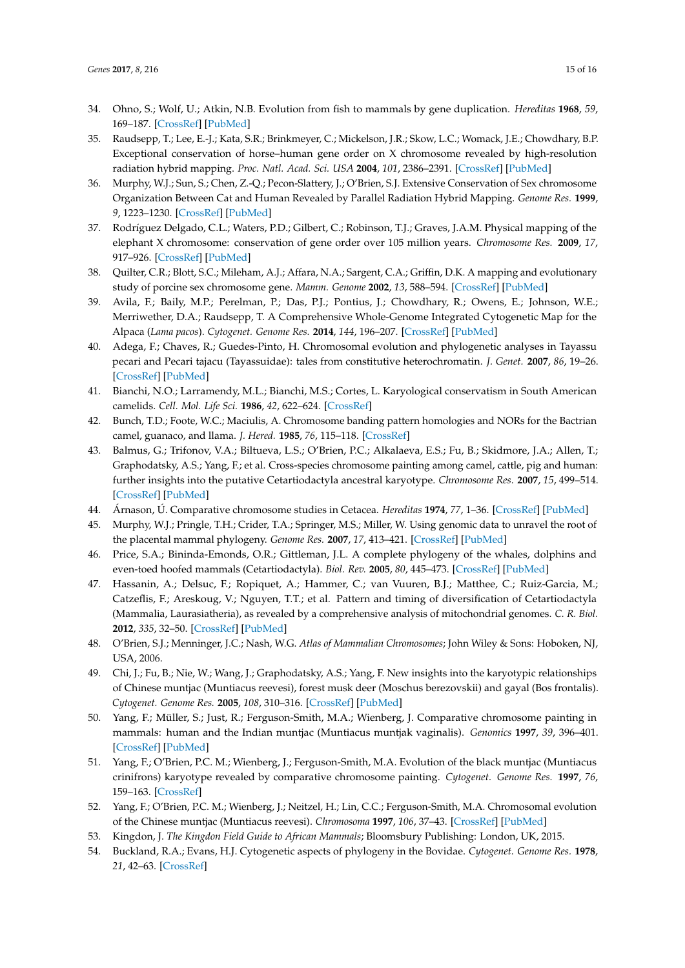- <span id="page-15-0"></span>34. Ohno, S.; Wolf, U.; Atkin, N.B. Evolution from fish to mammals by gene duplication. *Hereditas* **1968**, *59*, 169–187. [\[CrossRef\]](http://dx.doi.org/10.1111/j.1601-5223.1968.tb02169.x) [\[PubMed\]](http://www.ncbi.nlm.nih.gov/pubmed/5662632)
- <span id="page-15-1"></span>35. Raudsepp, T.; Lee, E.-J.; Kata, S.R.; Brinkmeyer, C.; Mickelson, J.R.; Skow, L.C.; Womack, J.E.; Chowdhary, B.P. Exceptional conservation of horse–human gene order on X chromosome revealed by high-resolution radiation hybrid mapping. *Proc. Natl. Acad. Sci. USA* **2004**, *101*, 2386–2391. [\[CrossRef\]](http://dx.doi.org/10.1073/pnas.0308513100) [\[PubMed\]](http://www.ncbi.nlm.nih.gov/pubmed/14983019)
- <span id="page-15-2"></span>36. Murphy, W.J.; Sun, S.; Chen, Z.-Q.; Pecon-Slattery, J.; O'Brien, S.J. Extensive Conservation of Sex chromosome Organization Between Cat and Human Revealed by Parallel Radiation Hybrid Mapping. *Genome Res.* **1999**, *9*, 1223–1230. [\[CrossRef\]](http://dx.doi.org/10.1101/gr.9.12.1223) [\[PubMed\]](http://www.ncbi.nlm.nih.gov/pubmed/10613845)
- <span id="page-15-4"></span><span id="page-15-3"></span>37. Rodríguez Delgado, C.L.; Waters, P.D.; Gilbert, C.; Robinson, T.J.; Graves, J.A.M. Physical mapping of the elephant X chromosome: conservation of gene order over 105 million years. *Chromosome Res.* **2009**, *17*, 917–926. [\[CrossRef\]](http://dx.doi.org/10.1007/s10577-009-9079-1) [\[PubMed\]](http://www.ncbi.nlm.nih.gov/pubmed/19789986)
- <span id="page-15-5"></span>38. Quilter, C.R.; Blott, S.C.; Mileham, A.J.; Affara, N.A.; Sargent, C.A.; Griffin, D.K. A mapping and evolutionary study of porcine sex chromosome gene. *Mamm. Genome* **2002**, *13*, 588–594. [\[CrossRef\]](http://dx.doi.org/10.1007/s00335-002-3026-1) [\[PubMed\]](http://www.ncbi.nlm.nih.gov/pubmed/12420137)
- <span id="page-15-6"></span>39. Avila, F.; Baily, M.P.; Perelman, P.; Das, P.J.; Pontius, J.; Chowdhary, R.; Owens, E.; Johnson, W.E.; Merriwether, D.A.; Raudsepp, T. A Comprehensive Whole-Genome Integrated Cytogenetic Map for the Alpaca (*Lama pacos*). *Cytogenet. Genome Res.* **2014**, *144*, 196–207. [\[CrossRef\]](http://dx.doi.org/10.1159/000370329) [\[PubMed\]](http://www.ncbi.nlm.nih.gov/pubmed/25662411)
- <span id="page-15-7"></span>40. Adega, F.; Chaves, R.; Guedes-Pinto, H. Chromosomal evolution and phylogenetic analyses in Tayassu pecari and Pecari tajacu (Tayassuidae): tales from constitutive heterochromatin. *J. Genet.* **2007**, *86*, 19–26. [\[CrossRef\]](http://dx.doi.org/10.1007/s12041-007-0003-1) [\[PubMed\]](http://www.ncbi.nlm.nih.gov/pubmed/17656845)
- <span id="page-15-8"></span>41. Bianchi, N.O.; Larramendy, M.L.; Bianchi, M.S.; Cortes, L. Karyological conservatism in South American camelids. *Cell. Mol. Life Sci.* **1986**, *42*, 622–624. [\[CrossRef\]](http://dx.doi.org/10.1007/BF01955563)
- 42. Bunch, T.D.; Foote, W.C.; Maciulis, A. Chromosome banding pattern homologies and NORs for the Bactrian camel, guanaco, and llama. *J. Hered.* **1985**, *76*, 115–118. [\[CrossRef\]](http://dx.doi.org/10.1093/oxfordjournals.jhered.a110034)
- <span id="page-15-9"></span>43. Balmus, G.; Trifonov, V.A.; Biltueva, L.S.; O'Brien, P.C.; Alkalaeva, E.S.; Fu, B.; Skidmore, J.A.; Allen, T.; Graphodatsky, A.S.; Yang, F.; et al. Cross-species chromosome painting among camel, cattle, pig and human: further insights into the putative Cetartiodactyla ancestral karyotype. *Chromosome Res.* **2007**, *15*, 499–514. [\[CrossRef\]](http://dx.doi.org/10.1007/s10577-007-1154-x) [\[PubMed\]](http://www.ncbi.nlm.nih.gov/pubmed/17671843)
- <span id="page-15-10"></span>44. Árnason, Ú. Comparative chromosome studies in Cetacea. *Hereditas* **1974**, *77*, 1–36. [\[CrossRef\]](http://dx.doi.org/10.1111/j.1601-5223.1974.tb01351.x) [\[PubMed\]](http://www.ncbi.nlm.nih.gov/pubmed/4137586)
- 45. Murphy, W.J.; Pringle, T.H.; Crider, T.A.; Springer, M.S.; Miller, W. Using genomic data to unravel the root of the placental mammal phylogeny. *Genome Res.* **2007**, *17*, 413–421. [\[CrossRef\]](http://dx.doi.org/10.1101/gr.5918807) [\[PubMed\]](http://www.ncbi.nlm.nih.gov/pubmed/17322288)
- 46. Price, S.A.; Bininda-Emonds, O.R.; Gittleman, J.L. A complete phylogeny of the whales, dolphins and even-toed hoofed mammals (Cetartiodactyla). *Biol. Rev.* **2005**, *80*, 445–473. [\[CrossRef\]](http://dx.doi.org/10.1017/S1464793105006743) [\[PubMed\]](http://www.ncbi.nlm.nih.gov/pubmed/16094808)
- 47. Hassanin, A.; Delsuc, F.; Ropiquet, A.; Hammer, C.; van Vuuren, B.J.; Matthee, C.; Ruiz-Garcia, M.; Catzeflis, F.; Areskoug, V.; Nguyen, T.T.; et al. Pattern and timing of diversification of Cetartiodactyla (Mammalia, Laurasiatheria), as revealed by a comprehensive analysis of mitochondrial genomes. *C. R. Biol.* **2012**, *335*, 32–50. [\[CrossRef\]](http://dx.doi.org/10.1016/j.crvi.2011.11.002) [\[PubMed\]](http://www.ncbi.nlm.nih.gov/pubmed/22226162)
- 48. O'Brien, S.J.; Menninger, J.C.; Nash, W.G. *Atlas of Mammalian Chromosomes*; John Wiley & Sons: Hoboken, NJ, USA, 2006.
- 49. Chi, J.; Fu, B.; Nie, W.; Wang, J.; Graphodatsky, A.S.; Yang, F. New insights into the karyotypic relationships of Chinese muntjac (Muntiacus reevesi), forest musk deer (Moschus berezovskii) and gayal (Bos frontalis). *Cytogenet. Genome Res.* **2005**, *108*, 310–316. [\[CrossRef\]](http://dx.doi.org/10.1159/000081520) [\[PubMed\]](http://www.ncbi.nlm.nih.gov/pubmed/15627750)
- 50. Yang, F.; Müller, S.; Just, R.; Ferguson-Smith, M.A.; Wienberg, J. Comparative chromosome painting in mammals: human and the Indian muntjac (Muntiacus muntjak vaginalis). *Genomics* **1997**, *39*, 396–401. [\[CrossRef\]](http://dx.doi.org/10.1006/geno.1996.4497) [\[PubMed\]](http://www.ncbi.nlm.nih.gov/pubmed/9119378)
- 51. Yang, F.; O'Brien, P.C. M.; Wienberg, J.; Ferguson-Smith, M.A. Evolution of the black muntjac (Muntiacus crinifrons) karyotype revealed by comparative chromosome painting. *Cytogenet. Genome Res.* **1997**, *76*, 159–163. [\[CrossRef\]](http://dx.doi.org/10.1159/000134535)
- 52. Yang, F.; O'Brien, P.C. M.; Wienberg, J.; Neitzel, H.; Lin, C.C.; Ferguson-Smith, M.A. Chromosomal evolution of the Chinese muntjac (Muntiacus reevesi). *Chromosoma* **1997**, *106*, 37–43. [\[CrossRef\]](http://dx.doi.org/10.1007/s004120050222) [\[PubMed\]](http://www.ncbi.nlm.nih.gov/pubmed/9169585)
- 53. Kingdon, J. *The Kingdon Field Guide to African Mammals*; Bloomsbury Publishing: London, UK, 2015.
- 54. Buckland, R.A.; Evans, H.J. Cytogenetic aspects of phylogeny in the Bovidae. *Cytogenet. Genome Res.* **1978**, *21*, 42–63. [\[CrossRef\]](http://dx.doi.org/10.1159/000130877)